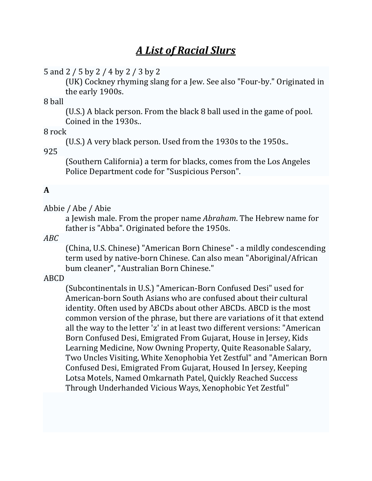# *A List of Racial Slurs*

5 and 2 / 5 by 2 / 4 by 2 / 3 by 2

(UK) Cockney rhyming slang for a Jew. See also "Four-by." Originated in the early 1900s.

8 ball 

(U.S.) A black person. From the black 8 ball used in the game of pool. Coined in the 1930s..

8 rock 

(U.S.) A very black person. Used from the 1930s to the 1950s..

925 

(Southern California) a term for blacks, comes from the Los Angeles Police Department code for "Suspicious Person".

# **A**

Abbie / Abe / Abie

a Jewish male. From the proper name *Abraham*. The Hebrew name for father is "Abba". Originated before the 1950s.

*ABC* 

(China, U.S. Chinese) "American Born Chinese" - a mildly condescending term used by native-born Chinese. Can also mean "Aboriginal/African bum cleaner", "Australian Born Chinese."

ABCD 

(Subcontinentals in U.S.) "American-Born Confused Desi" used for American-born South Asians who are confused about their cultural identity. Often used by ABCDs about other ABCDs. ABCD is the most common version of the phrase, but there are variations of it that extend all the way to the letter 'z' in at least two different versions: "American Born Confused Desi, Emigrated From Gujarat, House in Jersey, Kids Learning Medicine, Now Owning Property, Quite Reasonable Salary, Two Uncles Visiting, White Xenophobia Yet Zestful" and "American Born Confused Desi, Emigrated From Gujarat, Housed In Jersey, Keeping Lotsa Motels, Named Omkarnath Patel, Quickly Reached Success Through Underhanded Vicious Ways, Xenophobic Yet Zestful"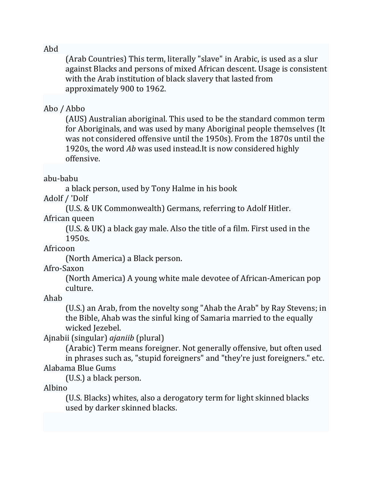#### Abd

(Arab Countries) This term, literally "slave" in Arabic, is used as a slur against Blacks and persons of mixed African descent. Usage is consistent with the Arab institution of black slavery that lasted from approximately 900 to 1962.

### Abo / Abbo

(AUS) Australian aboriginal. This used to be the standard common term for Aboriginals, and was used by many Aboriginal people themselves (It was not considered offensive until the 1950s). From the 1870s until the 1920s, the word *Ab* was used instead. It is now considered highly offensive. 

### abu‐babu

a black person, used by Tony Halme in his book

Adolf / 'Dolf

(U.S. & UK Commonwealth) Germans, referring to Adolf Hitler.

African queen

(U.S.  $&$  UK) a black gay male. Also the title of a film. First used in the 1950s. 

Africoon 

(North America) a Black person.

Afro‐Saxon 

(North America) A young white male devotee of African-American pop culture. 

Ahab 

(U.S.) an Arab, from the novelty song "Ahab the Arab" by Ray Stevens; in the Bible, Ahab was the sinful king of Samaria married to the equally wicked Jezebel.

Ajnabii (singular) *ajaniib* (plural) 

(Arabic) Term means foreigner. Not generally offensive, but often used in phrases such as, "stupid foreigners" and "they're just foreigners." etc. Alabama Blue Gums 

(U.S.) a black person.

Albino 

(U.S. Blacks) whites, also a derogatory term for light skinned blacks used by darker skinned blacks.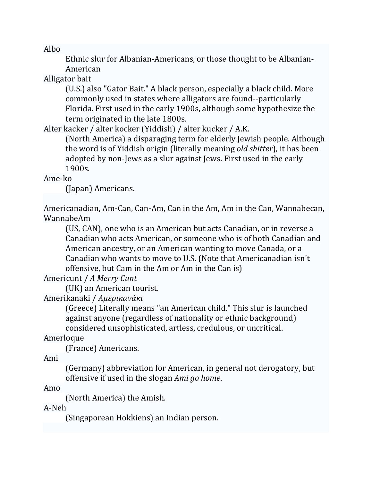Albo 

Ethnic slur for Albanian-Americans, or those thought to be Albanian-American 

Alligator bait

(U.S.) also "Gator Bait." A black person, especially a black child. More commonly used in states where alligators are found--particularly Florida. First used in the early 1900s, although some hypothesize the term originated in the late 1800s.

Alter kacker / alter kocker (Yiddish) / alter kucker / A.K.

(North America) a disparaging term for elderly Jewish people. Although the word is of Yiddish origin (literally meaning *old shitter*), it has been adopted by non-Jews as a slur against Jews. First used in the early 1900s. 

# Ame‐kō

(Japan) Americans. 

Americanadian, Am-Can, Can-Am, Can in the Am, Am in the Can, Wannabecan, WannabeAm 

(US, CAN), one who is an American but acts Canadian, or in reverse a Canadian who acts American, or someone who is of both Canadian and American ancestry, or an American wanting to move Canada, or a Canadian who wants to move to U.S. (Note that Americanadian isn't offensive, but Cam in the Am or Am in the Can is)

Americunt / *A Merry Cunt* 

(UK) an American tourist.

Amerikanaki / *Αμερικανάκι* 

(Greece) Literally means "an American child." This slur is launched against anyone (regardless of nationality or ethnic background) considered unsophisticated, artless, credulous, or uncritical.

Amerloque 

(France) Americans. 

Ami 

(Germany) abbreviation for American, in general not derogatory, but offensive if used in the slogan *Ami go home*.

Amo 

(North America) the Amish.

A‐Neh 

(Singaporean Hokkiens) an Indian person.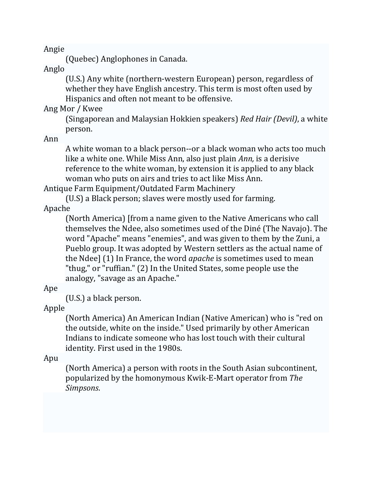Angie 

(Quebec) Anglophones in Canada.

Anglo 

(U.S.) Any white (northern-western European) person, regardless of whether they have English ancestry. This term is most often used by Hispanics and often not meant to be offensive.

Ang Mor / Kwee

(Singaporean and Malaysian Hokkien speakers) *Red Hair (Devil)*, a white person. 

Ann 

A white woman to a black person--or a black woman who acts too much like a white one. While Miss Ann, also just plain *Ann*, is a derisive reference to the white woman, by extension it is applied to any black woman who puts on airs and tries to act like Miss Ann.

Antique Farm Equipment/Outdated Farm Machinery

(U.S) a Black person; slaves were mostly used for farming.

Apache 

(North America) [from a name given to the Native Americans who call themselves the Ndee, also sometimes used of the Diné (The Navajo). The word "Apache" means "enemies", and was given to them by the Zuni, a Pueblo group. It was adopted by Western settlers as the actual name of the Ndee] (1) In France, the word *apache* is sometimes used to mean "thug," or "ruffian." (2) In the United States, some people use the analogy, "savage as an Apache."

Ape 

 $(U.S.)$  a black person.

Apple 

(North America) An American Indian (Native American) who is "red on the outside, white on the inside." Used primarily by other American Indians to indicate someone who has lost touch with their cultural identity. First used in the 1980s.

Apu 

(North America) a person with roots in the South Asian subcontinent, popularized by the homonymous Kwik-E-Mart operator from *The Simpsons*.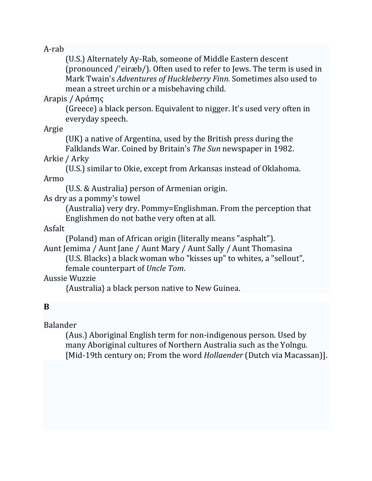A‐rab 

(U.S.) Alternately Ay-Rab, someone of Middle Eastern descent (pronounced /'eiræb/). Often used to refer to Jews. The term is used in Mark Twain's *Adventures of Huckleberry Finn.* Sometimes also used to mean a street urchin or a misbehaving child.

Arapis / Αράπης 

(Greece) a black person. Equivalent to nigger. It's used very often in everyday speech.

Argie 

(UK) a native of Argentina, used by the British press during the Falklands War. Coined by Britain's *The Sun* newspaper in 1982.

Arkie / Arky

(U.S.) similar to Okie, except from Arkansas instead of Oklahoma. Armo 

(U.S. & Australia) person of Armenian origin.

As dry as a pommy's towel

(Australia) very dry. Pommy=Englishman. From the perception that Englishmen do not bathe very often at all.

# Asfalt

(Poland) man of African origin (literally means "asphalt").

Aunt Jemima / Aunt Jane / Aunt Mary / Aunt Sally / Aunt Thomasina (U.S. Blacks) a black woman who "kisses up" to whites, a "sellout",

female counterpart of *Uncle Tom*. 

Aussie Wuzzie 

{Australia} a black person native to New Guinea.

# **B**

Balander 

(Aus.) Aboriginal English term for non-indigenous person. Used by many Aboriginal cultures of Northern Australia such as the Yolngu. [Mid-19th century on; From the word *Hollaender* (Dutch via Macassan)].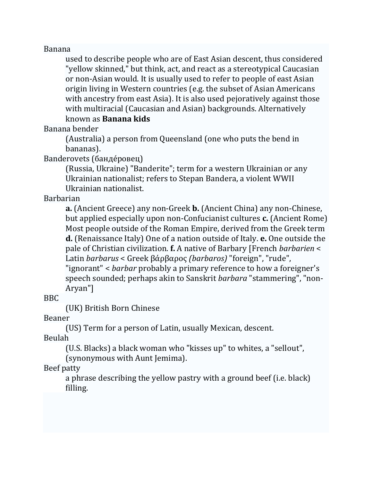#### Banana

used to describe people who are of East Asian descent, thus considered "yellow skinned," but think, act, and react as a stereotypical Caucasian or non-Asian would. It is usually used to refer to people of east Asian origin living in Western countries (e.g. the subset of Asian Americans with ancestry from east Asia). It is also used pejoratively against those with multiracial (Caucasian and Asian) backgrounds. Alternatively known as **Banana kids** 

#### Banana bender

(Australia) a person from Queensland (one who puts the bend in bananas). 

Banderovets (банде́ровец)

(Russia, Ukraine) "Banderite"; term for a western Ukrainian or any Ukrainian nationalist; refers to Stepan Bandera, a violent WWII Ukrainian nationalist.

#### Barbarian

**a.** (Ancient Greece) any non-Greek **b.** (Ancient China) any non-Chinese, but applied especially upon non-Confucianist cultures **c.** (Ancient Rome) Most people outside of the Roman Empire, derived from the Greek term **d.** (Renaissance Italy) One of a nation outside of Italy. **e.** One outside the pale of Christian civilization. **f.** A native of Barbary [French *barbarien* < Latin *barbarus* < Greek βάρβαρος *(barbaros)* "foreign", "rude", "ignorant" < *barbar* probably a primary reference to how a foreigner's speech sounded; perhaps akin to Sanskrit *barbara* "stammering", "non-Aryan"] 

BBC 

(UK) British Born Chinese

Beaner 

(US) Term for a person of Latin, usually Mexican, descent.

Beulah 

(U.S. Blacks) a black woman who "kisses up" to whites, a "sellout", (synonymous with Aunt Jemima).

Beef patty

a phrase describing the yellow pastry with a ground beef (i.e. black) filling.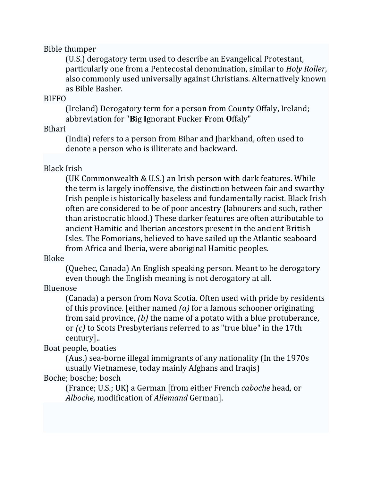#### Bible thumper

(U.S.) derogatory term used to describe an Evangelical Protestant, particularly one from a Pentecostal denomination, similar to *Holy Roller*, also commonly used universally against Christians. Alternatively known as Bible Basher. 

#### **BIFFO**

(Ireland) Derogatory term for a person from County Offaly, Ireland: abbreviation for "**B**ig **I**gnorant **F**ucker **F**rom **O**ffaly" 

#### Bihari

(India) refers to a person from Bihar and Jharkhand, often used to denote a person who is illiterate and backward.

### Black Irish

(UK Commonwealth & U.S.) an Irish person with dark features. While the term is largely inoffensive, the distinction between fair and swarthy Irish people is historically baseless and fundamentally racist. Black Irish often are considered to be of poor ancestry (labourers and such, rather than aristocratic blood.) These darker features are often attributable to ancient Hamitic and Iberian ancestors present in the ancient British Isles. The Fomorians, believed to have sailed up the Atlantic seaboard from Africa and Iberia, were aboriginal Hamitic peoples.

#### Bloke

(Quebec, Canada) An English speaking person. Meant to be derogatory even though the English meaning is not derogatory at all.

# Bluenose

(Canada) a person from Nova Scotia. Often used with pride by residents of this province. [either named  $(a)$  for a famous schooner originating from said province,  $(b)$  the name of a potato with a blue protuberance, or *(c)* to Scots Presbyterians referred to as "true blue" in the 17th century].. 

# Boat people, boaties

(Aus.) sea-borne illegal immigrants of any nationality (In the 1970s usually Vietnamese, today mainly Afghans and Iraqis)

# Boche: bosche; bosch

(France; U.S.; UK) a German [from either French *caboche* head, or *Alboche,* modification of *Allemand* German].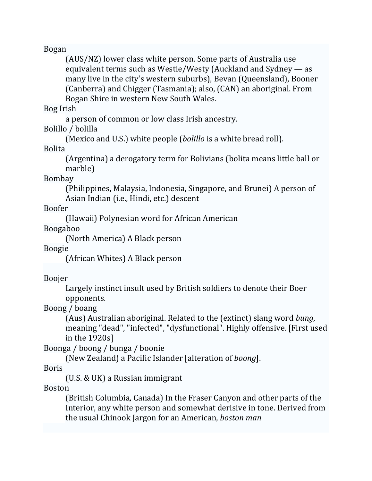#### Bogan

(AUS/NZ) lower class white person. Some parts of Australia use equivalent terms such as Westie/Westy (Auckland and Sydney  $-$  as many live in the city's western suburbs), Bevan (Queensland), Booner (Canberra) and Chigger (Tasmania); also, (CAN) an aboriginal. From Bogan Shire in western New South Wales.

#### Bog Irish

a person of common or low class Irish ancestry.

### Bolillo / bolilla

(Mexico and U.S.) white people (*bolillo* is a white bread roll).

#### Bolita

(Argentina) a derogatory term for Bolivians (bolita means little ball or marble) 

#### Bombay

(Philippines, Malaysia, Indonesia, Singapore, and Brunei) A person of Asian Indian (i.e., Hindi, etc.) descent

Boofer 

(Hawaii) Polynesian word for African American

Boogaboo 

(North America) A Black person

#### Boogie

(African Whites) A Black person

# Boojer

Largely instinct insult used by British soldiers to denote their Boer opponents. 

# Boong / boang

(Aus) Australian aboriginal. Related to the (extinct) slang word *bung*, meaning "dead", "infected", "dysfunctional". Highly offensive. [First used in the  $1920s$ ]

Boonga / boong / bunga / boonie

(New Zealand) a Pacific Islander [alteration of *boong*]. 

Boris 

(U.S.  $&$  UK) a Russian immigrant

Boston 

(British Columbia, Canada) In the Fraser Canyon and other parts of the Interior, any white person and somewhat derisive in tone. Derived from the usual Chinook Jargon for an American, *boston man*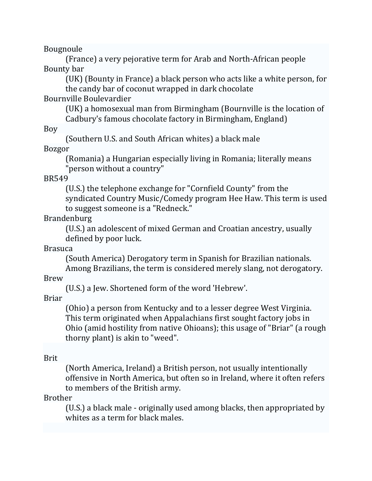Bougnoule 

(France) a very pejorative term for Arab and North-African people Bounty bar

(UK) (Bounty in France) a black person who acts like a white person, for the candy bar of coconut wrapped in dark chocolate

### Bournville Boulevardier

(UK) a homosexual man from Birmingham (Bournville is the location of Cadbury's famous chocolate factory in Birmingham, England)

#### Boy

(Southern U.S. and South African whites) a black male

#### Bozgor

(Romania) a Hungarian especially living in Romania; literally means "person without a country"

#### BR549

(U.S.) the telephone exchange for "Cornfield County" from the syndicated Country Music/Comedy program Hee Haw. This term is used to suggest someone is a "Redneck."

### Brandenburg

(U.S.) an adolescent of mixed German and Croatian ancestry, usually defined by poor luck.

#### Brasuca

(South America) Derogatory term in Spanish for Brazilian nationals. Among Brazilians, the term is considered merely slang, not derogatory.

#### Brew

(U.S.) a Jew. Shortened form of the word 'Hebrew'.

Briar 

(Ohio) a person from Kentucky and to a lesser degree West Virginia. This term originated when Appalachians first sought factory jobs in Ohio (amid hostility from native Ohioans); this usage of "Briar" (a rough thorny plant) is akin to "weed".

#### Brit

(North America, Ireland) a British person, not usually intentionally offensive in North America, but often so in Ireland, where it often refers to members of the British army.

#### Brother

 $(U.S.)$  a black male - originally used among blacks, then appropriated by whites as a term for black males.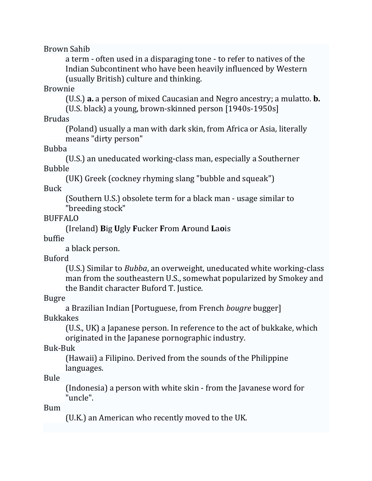Brown Sahib 

a term - often used in a disparaging tone - to refer to natives of the Indian Subcontinent who have been heavily influenced by Western (usually British) culture and thinking.

#### Brownie

(U.S.) **a.** a person of mixed Caucasian and Negro ancestry; a mulatto. **b.** (U.S. black) a young, brown-skinned person [1940s-1950s]

Brudas 

(Poland) usually a man with dark skin, from Africa or Asia, literally means "dirty person"

Bubba 

(U.S.) an uneducated working-class man, especially a Southerner Bubble 

(UK) Greek (cockney rhyming slang "bubble and squeak")

Buck 

(Southern U.S.) obsolete term for a black man - usage similar to "breeding stock"

BUFFALO 

(Ireland) **B**ig **U**gly **F**ucker **F**rom **A**round **L**a**o**is 

buffie 

a black person.

Buford 

(U.S.) Similar to *Bubba*, an overweight, uneducated white working-class man from the southeastern U.S., somewhat popularized by Smokey and the Bandit character Buford T. Justice.

Bugre 

a Brazilian Indian [Portuguese, from French *bougre* bugger] Bukkakes 

(U.S., UK) a Japanese person. In reference to the act of bukkake, which originated in the Japanese pornographic industry.

Buk‐Buk 

(Hawaii) a Filipino. Derived from the sounds of the Philippine languages. 

Bule 

(Indonesia) a person with white skin - from the Javanese word for "uncle". 

Bum 

(U.K.) an American who recently moved to the UK.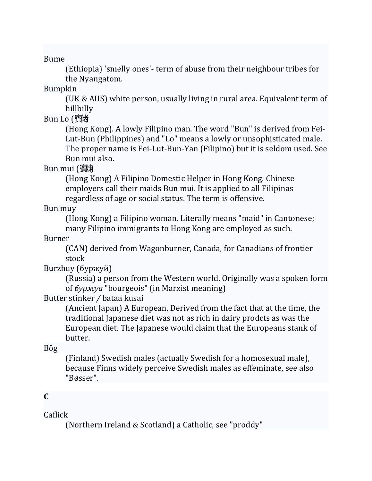Bume 

(Ethiopia) 'smelly ones'- term of abuse from their neighbour tribes for the Nyangatom.

Bumpkin 

(UK & AUS) white person, usually living in rural area. Equivalent term of hillbilly 

Bun Lo (賓者)

(Hong Kong). A lowly Filipino man. The word "Bun" is derived from Fei-Lut-Bun (Philippines) and "Lo" means a lowly or unsophisticated male. The proper name is Fei-Lut-Bun-Yan (Filipino) but it is seldom used. See Bun mui also.

Bun mui (賓味

(Hong Kong) A Filipino Domestic Helper in Hong Kong. Chinese employers call their maids Bun mui. It is applied to all Filipinas regardless of age or social status. The term is offensive.

Bun muy

(Hong Kong) a Filipino woman. Literally means "maid" in Cantonese; many Filipino immigrants to Hong Kong are employed as such.

Burner 

(CAN) derived from Wagonburner, Canada, for Canadians of frontier stock 

Burzhuy (буржуй)

(Russia) a person from the Western world. Originally was a spoken form of буржуа "bourgeois" (in Marxist meaning)

Butter stinker / bataa kusai

(Ancient Japan) A European. Derived from the fact that at the time, the traditional Japanese diet was not as rich in dairy prodcts as was the European diet. The Japanese would claim that the Europeans stank of butter. 

Bög 

(Finland) Swedish males (actually Swedish for a homosexual male), because Finns widely perceive Swedish males as effeminate, see also "Bøsser". 

# **C**

Caflick 

(Northern Ireland & Scotland) a Catholic, see "proddy"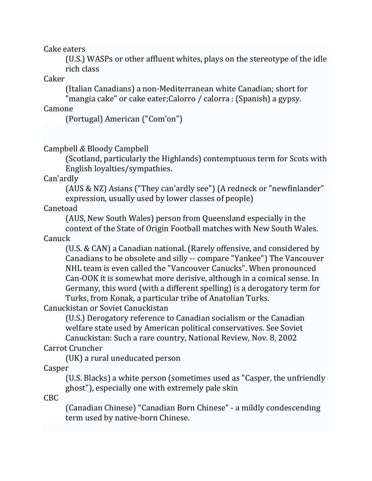Cake eaters

(U.S.) WASPs or other affluent whites, plays on the stereotype of the idle rich class

Caker 

(Italian Canadians) a non-Mediterranean white Canadian; short for

"mangia cake" or cake eater;Calorro / calorra : (Spanish) a gypsy.

### **Camone**

(Portugal) American ("Com'on") 

Campbell *&* Bloody Campbell 

(Scotland, particularly the Highlands) contemptuous term for Scots with English loyalties/sympathies.

Can'ardly 

(AUS & NZ) Asians ("They can'ardly see") (A redneck or "newfinlander" expression, usually used by lower classes of people)

Canetoad 

(AUS, New South Wales) person from Queensland especially in the

context of the State of Origin Football matches with New South Wales. Canuck 

(U.S. & CAN) a Canadian national. (Rarely offensive, and considered by Canadians to be obsolete and silly -- compare "Yankee") The Vancouver NHL team is even called the "Vancouver Canucks". When pronounced Can-OOK it is somewhat more derisive, although in a comical sense. In Germany, this word (with a different spelling) is a derogatory term for Turks, from Konak, a particular tribe of Anatolian Turks.

Canuckistan or Soviet Canuckistan

(U.S.) Derogatory reference to Canadian socialism or the Canadian welfare state used by American political conservatives. See Soviet

Canuckistan: Such a rare country, National Review, Nov. 8, 2002 Carrot Cruncher 

(UK) a rural uneducated person

Casper 

(U.S. Blacks) a white person (sometimes used as "Casper, the unfriendly ghost"), especially one with extremely pale skin

CBC 

(Canadian Chinese) "Canadian Born Chinese" - a mildly condescending term used by native-born Chinese.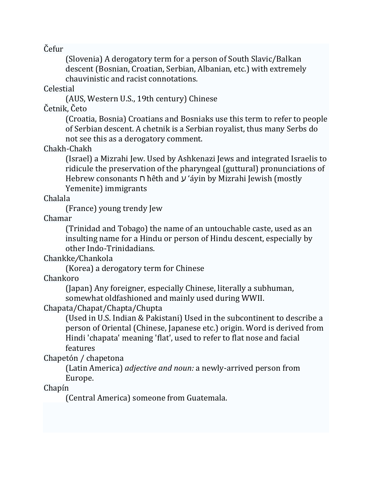Čefur 

(Slovenia) A derogatory term for a person of South Slavic/Balkan descent (Bosnian, Croatian, Serbian, Albanian, etc.) with extremely chauvinistic and racist connotations.

### Celestial

(AUS, Western U.S., 19th century) Chinese

# Četnik, Četo

(Croatia, Bosnia) Croatians and Bosniaks use this term to refer to people of Serbian descent. A chetnik is a Serbian royalist, thus many Serbs do not see this as a derogatory comment.

### Chakh‐Chakh

(Israel) a Mizrahi Jew. Used by Ashkenazi Jews and integrated Israelis to ridicule the preservation of the pharyngeal (guttural) pronunciations of Hebrew consonants  $\cap$  hêth and  $\vee$  'áyin by Mizrahi Jewish (mostly Yemenite) immigrants

# Chalala

(France) young trendy Jew 

Chamar 

(Trinidad and Tobago) the name of an untouchable caste, used as an insulting name for a Hindu or person of Hindu descent, especially by other Indo-Trinidadians.

# Chankke*/*Chankola

(Korea) a derogatory term for Chinese

#### Chankoro

(Japan) Any foreigner, especially Chinese, literally a subhuman, somewhat oldfashioned and mainly used during WWII.

# Chapata/Chapat/Chapta/Chupta

(Used in U.S. Indian & Pakistani) Used in the subcontinent to describe a person of Oriental (Chinese, Japanese etc.) origin. Word is derived from Hindi 'chapata' meaning 'flat', used to refer to flat nose and facial features 

# Chapetón / chapetona

(Latin America) *adjective and noun:* a newly-arrived person from Europe. 

# Chapín

(Central America) someone from Guatemala.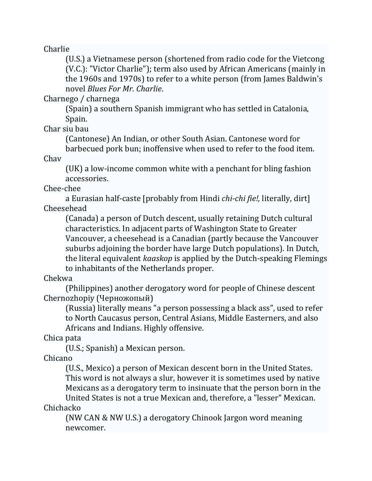Charlie 

(U.S.) a Vietnamese person (shortened from radio code for the Vietcong (V.C.): "Victor Charlie"); term also used by African Americans (mainly in the 1960s and 1970s) to refer to a white person (from James Baldwin's novel *Blues For Mr. Charlie*. 

Charnego / charnega 

(Spain) a southern Spanish immigrant who has settled in Catalonia, Spain. 

Char siu bau

(Cantonese) An Indian, or other South Asian. Cantonese word for barbecued pork bun; inoffensive when used to refer to the food item.

Chav 

(UK) a low-income common white with a penchant for bling fashion accessories. 

Chee‐chee 

a Eurasian half-caste [probably from Hindi *chi-chi fie!,* literally, dirt] Cheesehead 

(Canada) a person of Dutch descent, usually retaining Dutch cultural characteristics. In adjacent parts of Washington State to Greater Vancouver, a cheesehead is a Canadian (partly because the Vancouver suburbs adjoining the border have large Dutch populations). In Dutch, the literal equivalent *kaaskop* is applied by the Dutch-speaking Flemings to inhabitants of the Netherlands proper.

Chekwa 

(Philippines) another derogatory word for people of Chinese descent Chernozhopiy (Черножопый)

(Russia) literally means "a person possessing a black ass", used to refer to North Caucasus person, Central Asians, Middle Easterners, and also Africans and Indians. Highly offensive.

Chica pata

(U.S.; Spanish) a Mexican person.

Chicano 

(U.S., Mexico) a person of Mexican descent born in the United States. This word is not always a slur, however it is sometimes used by native Mexicans as a derogatory term to insinuate that the person born in the United States is not a true Mexican and, therefore, a "lesser" Mexican.

Chichacko 

(NW CAN & NW U.S.) a derogatory Chinook Jargon word meaning newcomer.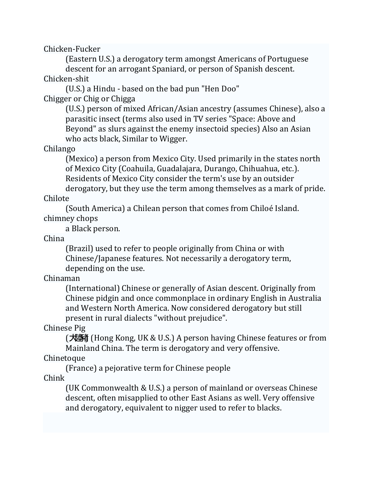Chicken‐Fucker 

(Eastern U.S.) a derogatory term amongst Americans of Portuguese descent for an arrogant Spaniard, or person of Spanish descent.

Chicken‐shit 

(U.S.) a Hindu - based on the bad pun "Hen Doo" Chigger or Chig or Chigga

> (U.S.) person of mixed African/Asian ancestry (assumes Chinese), also a parasitic insect (terms also used in TV series "Space: Above and Beyond" as slurs against the enemy insectoid species) Also an Asian who acts black, Similar to Wigger.

Chilango 

(Mexico) a person from Mexico City. Used primarily in the states north of Mexico City (Coahuila, Guadalajara, Durango, Chihuahua, etc.). Residents of Mexico City consider the term's use by an outsider

derogatory, but they use the term among themselves as a mark of pride. Chilote 

(South America) a Chilean person that comes from Chiloé Island. chimney chops 

a Black person.

China 

(Brazil) used to refer to people originally from China or with Chinese/Japanese features. Not necessarily a derogatory term, depending on the use.

Chinaman 

(International) Chinese or generally of Asian descent. Originally from Chinese pidgin and once commonplace in ordinary English in Australia and Western North America. Now considered derogatory but still present in rural dialects "without prejudice".

Chinese Pig

(大陸猪) (Hong Kong, UK & U.S.) A person having Chinese features or from Mainland China. The term is derogatory and very offensive.

# Chinetoque

(France) a pejorative term for Chinese people Chink 

> (UK Commonwealth & U.S.) a person of mainland or overseas Chinese descent, often misapplied to other East Asians as well. Very offensive and derogatory, equivalent to nigger used to refer to blacks.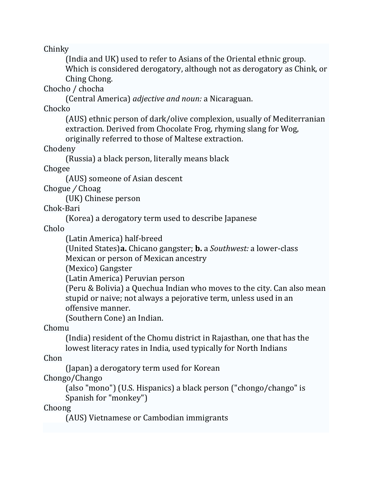Chinky 

(India and UK) used to refer to Asians of the Oriental ethnic group. Which is considered derogatory, although not as derogatory as Chink, or Ching Chong.

Chocho / chocha

(Central America) *adjective and noun:* a Nicaraguan. 

Chocko 

(AUS) ethnic person of dark/olive complexion, usually of Mediterranian extraction. Derived from Chocolate Frog, rhyming slang for Wog, originally referred to those of Maltese extraction.

Chodeny 

(Russia) a black person, literally means black

Chogee 

(AUS) someone of Asian descent

Chogue */* Choag 

(UK) Chinese person

Chok‐Bari 

(Korea) a derogatory term used to describe Japanese

Cholo 

(Latin America) half‐breed 

(United States)**a.** Chicano gangster; **b.** a *Southwest:* a lower‐class 

Mexican or person of Mexican ancestry

(Mexico) Gangster

(Latin America) Peruvian person 

(Peru & Bolivia) a Quechua Indian who moves to the city. Can also mean stupid or naive; not always a pejorative term, unless used in an offensive manner.

(Southern Cone) an Indian.

Chomu 

(India) resident of the Chomu district in Rajasthan, one that has the lowest literacy rates in India, used typically for North Indians

Chon 

(Japan) a derogatory term used for Korean

Chongo/Chango 

(also "mono") (U.S. Hispanics) a black person ("chongo/chango" is Spanish for "monkey")

Choong 

(AUS) Vietnamese or Cambodian immigrants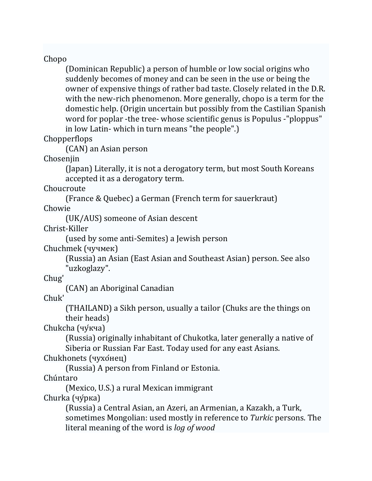### Chopo

(Dominican Republic) a person of humble or low social origins who suddenly becomes of money and can be seen in the use or being the owner of expensive things of rather bad taste. Closely related in the D.R. with the new-rich phenomenon. More generally, chopo is a term for the domestic help. (Origin uncertain but possibly from the Castilian Spanish word for poplar -the tree- whose scientific genus is Populus -"ploppus" in low Latin- which in turn means "the people".)

# Chopperflops

(CAN) an Asian person

Chosenjin 

(Japan) Literally, it is not a derogatory term, but most South Koreans accepted it as a derogatory term.

Choucroute 

(France & Quebec) a German (French term for sauerkraut)

Chowie 

(UK/AUS) someone of Asian descent

Christ‐Killer 

(used by some anti‐Semites) a Jewish person 

Chuchmek (чучмек)

(Russia) an Asian (East Asian and Southeast Asian) person. See also "uzkoglazy". 

Chug' 

(CAN) an Aboriginal Canadian

Chuk' 

(THAILAND) a Sikh person, usually a tailor (Chuks are the things on their heads)

Chukcha (чу́кча)

(Russia) originally inhabitant of Chukotka, later generally a native of Siberia or Russian Far East. Today used for any east Asians.

# Chukhonets (чухо́нец)

(Russia) A person from Finland or Estonia.

Chúntaro 

(Mexico, U.S.) a rural Mexican immigrant

Churka (чу́рка)

(Russia) a Central Asian, an Azeri, an Armenian, a Kazakh, a Turk, sometimes Mongolian: used mostly in reference to *Turkic* persons. The literal meaning of the word is *log of wood*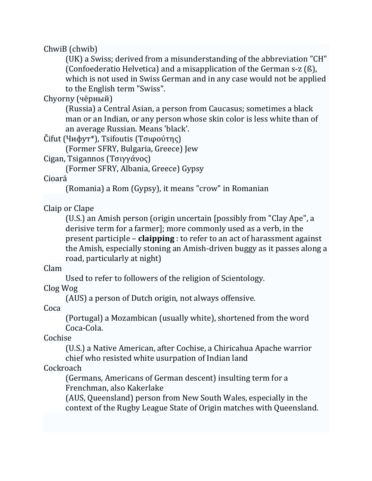### ChwiB (chwib)

(UK) a Swiss; derived from a misunderstanding of the abbreviation "CH" (Confoederatio Helvetica) and a misapplication of the German  $s-z$  (ß), which is not used in Swiss German and in any case would not be applied to the English term "Swiss".

### Chyorny (чёрный)

(Russia) a Central Asian, a person from Caucasus; sometimes a black man or an Indian, or any person whose skin color is less white than of an average Russian. Means 'black'.

# $Čifut$  (Чифут<sup>\*</sup>), Tsifoutis (Τσιφούτης)

(Former SFRY, Bulgaria, Greece) Jew 

Cigan, Tsigannos (Τσιγγάνος)

(Former SFRY, Albania, Greece) Gypsy

#### Cioarā

(Romania) a Rom (Gypsy), it means "crow" in Romanian

# Claip or Clape

(U.S.) an Amish person (origin uncertain [possibly from "Clay Ape", a derisive term for a farmer]; more commonly used as a verb, in the present participle – **claipping** : to refer to an act of harassment against the Amish, especially stoning an Amish-driven buggy as it passes along a road, particularly at night)

#### Clam

Used to refer to followers of the religion of Scientology.

# Clog Wog

(AUS) a person of Dutch origin, not always offensive.

# Coca

(Portugal) a Mozambican (usually white), shortened from the word Coca‐Cola. 

# Cochise

(U.S.) a Native American, after Cochise, a Chiricahua Apache warrior chief who resisted white usurpation of Indian land

# **Cockroach**

(Germans, Americans of German descent) insulting term for a Frenchman, also Kakerlake 

(AUS, Queensland) person from New South Wales, especially in the context of the Rugby League State of Origin matches with Queensland.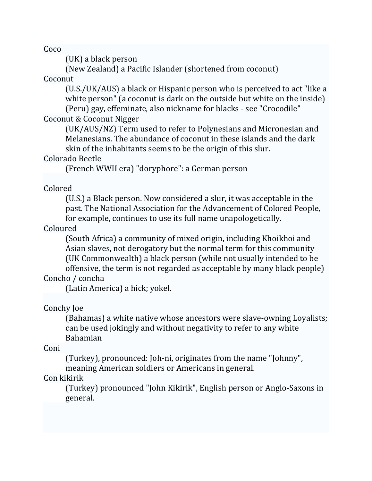Coco 

 $(UK)$  a black person

(New Zealand) a Pacific Islander (shortened from coconut)

#### Coconut

(U.S./UK/AUS) a black or Hispanic person who is perceived to act "like a white  $person''$  (a coconut is dark on the outside but white on the inside) (Peru) gay, effeminate, also nickname for blacks - see "Crocodile"

# Coconut & Coconut Nigger

(UK/AUS/NZ) Term used to refer to Polynesians and Micronesian and Melanesians. The abundance of coconut in these islands and the dark skin of the inhabitants seems to be the origin of this slur.

# Colorado Beetle

(French WWII era) "doryphore": a German person

# Colored

(U.S.) a Black person. Now considered a slur, it was acceptable in the past. The National Association for the Advancement of Colored People, for example, continues to use its full name unapologetically.

# Coloured

(South Africa) a community of mixed origin, including Khoikhoi and Asian slaves, not derogatory but the normal term for this community (UK Commonwealth) a black person (while not usually intended to be offensive, the term is not regarded as acceptable by many black people)

# Concho / concha

(Latin America) a hick; yokel.

# Conchy Joe

(Bahamas) a white native whose ancestors were slave-owning Loyalists; can be used jokingly and without negativity to refer to any white Bahamian 

Coni 

(Turkey), pronounced: Joh-ni, originates from the name "Johnny", meaning American soldiers or Americans in general.

# Con kikirik

(Turkey) pronounced "John Kikirik", English person or Anglo-Saxons in general.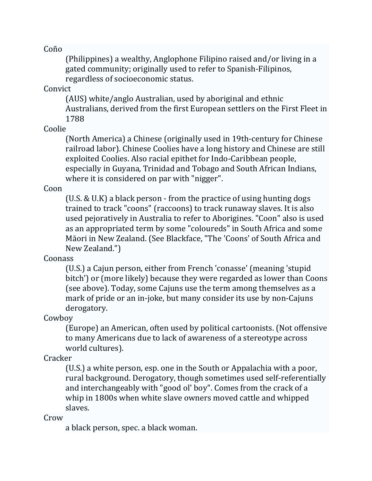Coño 

(Philippines) a wealthy, Anglophone Filipino raised and/or living in a gated community; originally used to refer to Spanish-Filipinos, regardless of socioeconomic status.

#### Convict

(AUS) white/anglo Australian, used by aboriginal and ethnic Australians, derived from the first European settlers on the First Fleet in 1788 

### Coolie

(North America) a Chinese (originally used in 19th-century for Chinese railroad labor). Chinese Coolies have a long history and Chinese are still exploited Coolies. Also racial epithet for Indo-Caribbean people, especially in Guyana, Trinidad and Tobago and South African Indians, where it is considered on par with "nigger".

### Coon

(U.S. & U.K) a black person - from the practice of using hunting dogs trained to track "coons" (raccoons) to track runaway slaves. It is also used pejoratively in Australia to refer to Aborigines. "Coon" also is used as an appropriated term by some "coloureds" in South Africa and some Māori in New Zealand. (See Blackface, "The 'Coons' of South Africa and New Zealand.")

# Coonass

(U.S.) a Cajun person, either from French 'conasse' (meaning 'stupid bitch') or (more likely) because they were regarded as lower than Coons (see above). Today, some Cajuns use the term among themselves as a mark of pride or an in-joke, but many consider its use by non-Cajuns derogatory. 

Cowboy 

(Europe) an American, often used by political cartoonists. (Not offensive to many Americans due to lack of awareness of a stereotype across world cultures).

# **Cracker**

 $(U.S.)$  a white person, esp. one in the South or Appalachia with a poor, rural background. Derogatory, though sometimes used self-referentially and interchangeably with "good ol' boy". Comes from the crack of a whip in 1800s when white slave owners moved cattle and whipped slaves. 

Crow 

a black person, spec. a black woman.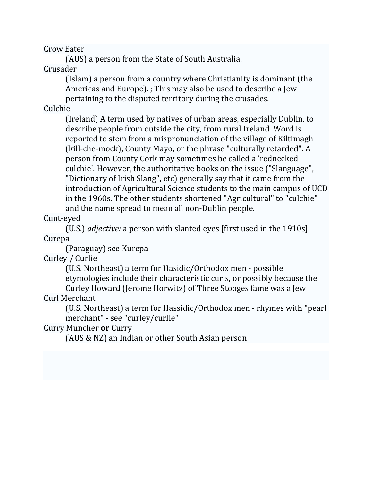Crow Eater 

(AUS) a person from the State of South Australia.

#### Crusader

(Islam) a person from a country where Christianity is dominant (the Americas and Europe).  $\cdot$  This may also be used to describe a Jew pertaining to the disputed territory during the crusades.

# Culchie

(Ireland) A term used by natives of urban areas, especially Dublin, to describe people from outside the city, from rural Ireland. Word is reported to stem from a mispronunciation of the village of Kiltimagh (kill-che-mock), County Mayo, or the phrase "culturally retarded". A person from County Cork may sometimes be called a 'rednecked culchie'. However, the authoritative books on the issue ("Slanguage", "Dictionary of Irish Slang", etc) generally say that it came from the introduction of Agricultural Science students to the main campus of UCD in the 1960s. The other students shortened "Agricultural" to "culchie" and the name spread to mean all non-Dublin people.

Cunt‐eyed 

(U.S.) *adjective:* a person with slanted eyes [first used in the 1910s] Curepa 

(Paraguay) see Kurepa 

Curley / Curlie

(U.S. Northeast) a term for Hasidic/Orthodox men - possible etymologies include their characteristic curls, or possibly because the Curley Howard (Jerome Horwitz) of Three Stooges fame was a Jew

Curl Merchant 

(U.S. Northeast) a term for Hassidic/Orthodox men - rhymes with "pearl merchant" - see "curley/curlie"

# Curry Muncher **or** Curry

(AUS & NZ) an Indian or other South Asian person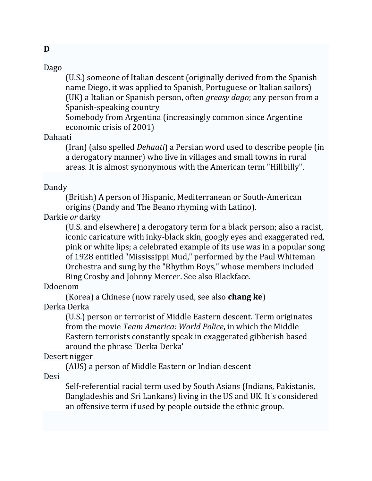**D**

(U.S.) someone of Italian descent (originally derived from the Spanish name Diego, it was applied to Spanish, Portuguese or Italian sailors) (UK) a Italian or Spanish person, often *greasy dago*; any person from a Spanish-speaking country

Somebody from Argentina (increasingly common since Argentine economic crisis of 2001)

#### Dahaati

(Iran) (also spelled *Dehaati*) a Persian word used to describe people (in a derogatory manner) who live in villages and small towns in rural areas. It is almost synonymous with the American term "Hillbilly".

#### Dandy

(British) A person of Hispanic, Mediterranean or South-American origins (Dandy and The Beano rhyming with Latino).

# Darkie or darky

(U.S. and elsewhere) a derogatory term for a black person; also a racist, iconic caricature with inky-black skin, googly eyes and exaggerated red, pink or white lips; a celebrated example of its use was in a popular song of 1928 entitled "Mississippi Mud," performed by the Paul Whiteman Orchestra and sung by the "Rhythm Boys," whose members included Bing Crosby and Johnny Mercer. See also Blackface.

# Ddoenom

(Korea) a Chinese (now rarely used, see also **chang ke**) Derka Derka 

(U.S.) person or terrorist of Middle Eastern descent. Term originates from the movie *Team America: World Police*, in which the Middle Eastern terrorists constantly speak in exaggerated gibberish based around the phrase 'Derka Derka'

# Desert nigger

(AUS) a person of Middle Eastern or Indian descent

Desi 

Self-referential racial term used by South Asians (Indians, Pakistanis, Bangladeshis and Sri Lankans) living in the US and UK. It's considered an offensive term if used by people outside the ethnic group.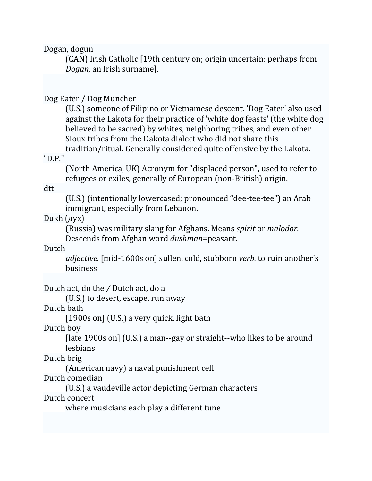Dogan, dogun

(CAN) Irish Catholic [19th century on; origin uncertain: perhaps from *Dogan*, an Irish surname].

#### Dog Eater / Dog Muncher

(U.S.) someone of Filipino or Vietnamese descent. 'Dog Eater' also used against the Lakota for their practice of 'white dog feasts' (the white dog believed to be sacred) by whites, neighboring tribes, and even other Sioux tribes from the Dakota dialect who did not share this tradition/ritual. Generally considered quite offensive by the Lakota.

#### "D.P."

(North America, UK) Acronym for "displaced person", used to refer to refugees or exiles, generally of European (non-British) origin.

#### dtt

(U.S.) (intentionally lowercased; pronounced "dee-tee-tee") an Arab immigrant, especially from Lebanon.

#### Dukh $(qyx)$

(Russia) was military slang for Afghans. Means *spirit* or *malodor*. Descends from Afghan word *dushman*=peasant.

#### Dutch

*adjective.* [mid-1600s on] sullen, cold, stubborn *verb.* to ruin another's business 

Dutch act, do the / Dutch act, do a

(U.S.) to desert, escape, run away

#### Dutch bath

 $[1900s$  on] (U.S.) a very quick, light bath

#### Dutch boy

[ $\lambda$ ] [late 1900s on] (U.S.) a man--gay or straight--who likes to be around lesbians 

#### Dutch brig

(American navy) a naval punishment cell

#### Dutch comedian

(U.S.) a vaudeville actor depicting German characters

#### Dutch concert

where musicians each play a different tune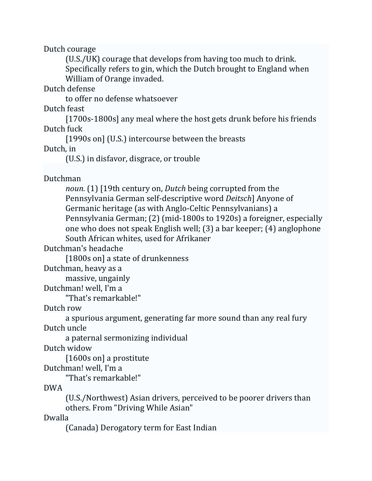Dutch courage

(U.S./UK) courage that develops from having too much to drink. Specifically refers to gin, which the Dutch brought to England when William of Orange invaded.

Dutch defense 

to offer no defense whatsoever

Dutch feast

[1700s-1800s] any meal where the host gets drunk before his friends Dutch fuck

[1990s on] (U.S.) intercourse between the breasts

Dutch, in

(U.S.) in disfavor, disgrace, or trouble

Dutchman 

*noun.* (1) [19th century on, *Dutch* being corrupted from the Pennsylvania German self-descriptive word *Deitsch*] Anyone of Germanic heritage (as with Anglo-Celtic Pennsylvanians) a Pennsylvania German; (2) (mid-1800s to 1920s) a foreigner, especially one who does not speak English well;  $(3)$  a bar keeper;  $(4)$  anglophone South African whites, used for Afrikaner

Dutchman's headache

[1800s on] a state of drunkenness

Dutchman, heavy as a

massive, ungainly

Dutchman! well. I'm a

"That's remarkable!"

Dutch row

a spurious argument, generating far more sound than any real fury Dutch uncle

a paternal sermonizing individual

Dutch widow

 $[1600s$  on] a prostitute

Dutchman! well, I'm a

"That's remarkable!"

DWA 

(U.S./Northwest) Asian drivers, perceived to be poorer drivers than others. From "Driving While Asian"

Dwalla 

(Canada) Derogatory term for East Indian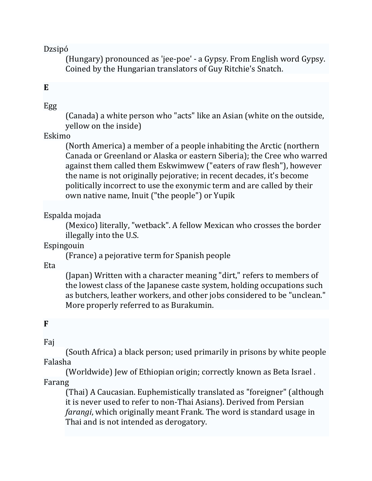Dzsipó 

(Hungary) pronounced as 'jee-poe' - a Gypsy. From English word Gypsy. Coined by the Hungarian translators of Guy Ritchie's Snatch.

### **E**

#### Egg

(Canada) a white person who "acts" like an Asian (white on the outside, yellow on the inside)

#### Eskimo

(North America) a member of a people inhabiting the Arctic (northern Canada or Greenland or Alaska or eastern Siberia); the Cree who warred against them called them Eskwimwew ("eaters of raw flesh"), however the name is not originally pejorative; in recent decades, it's become politically incorrect to use the exonymic term and are called by their own native name, Inuit ("the people") or Yupik

Espalda mojada 

(Mexico) literally, "wetback". A fellow Mexican who crosses the border illegally into the U.S.

Espingouin 

(France) a pejorative term for Spanish people 

Eta 

(Japan) Written with a character meaning "dirt," refers to members of the lowest class of the Japanese caste system, holding occupations such as butchers, leather workers, and other jobs considered to be "unclean." More properly referred to as Burakumin.

#### **F**

Faj 

(South Africa) a black person; used primarily in prisons by white people Falasha 

(Worldwide) Jew of Ethiopian origin; correctly known as Beta Israel. Farang 

(Thai) A Caucasian. Euphemistically translated as "foreigner" (although it is never used to refer to non-Thai Asians). Derived from Persian *farangi*, which originally meant Frank. The word is standard usage in Thai and is not intended as derogatory.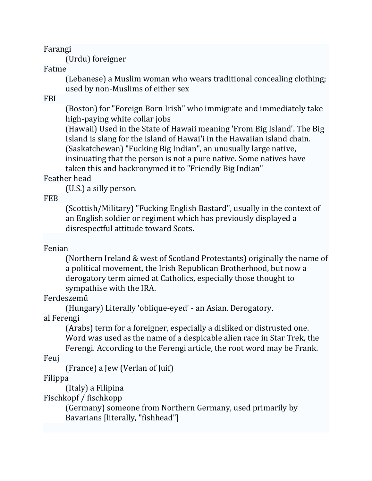Farangi 

(Urdu) foreigner

#### Fatme

(Lebanese) a Muslim woman who wears traditional concealing clothing; used by non-Muslims of either sex

# FBI

(Boston) for "Foreign Born Irish" who immigrate and immediately take high-paying white collar jobs

(Hawaii) Used in the State of Hawaii meaning 'From Big Island'. The Big Island is slang for the island of Hawai'i in the Hawaiian island chain. (Saskatchewan) "Fucking Big Indian", an unusually large native, insinuating that the person is not a pure native. Some natives have taken this and backronymed it to "Friendly Big Indian"

# Feather head

(U.S.) a silly person.

FEB 

(Scottish/Military) "Fucking English Bastard", usually in the context of an English soldier or regiment which has previously displayed a disrespectful attitude toward Scots.

# Fenian

(Northern Ireland & west of Scotland Protestants) originally the name of a political movement, the Irish Republican Brotherhood, but now a derogatory term aimed at Catholics, especially those thought to sympathise with the IRA.

# Ferdeszemű

(Hungary) Literally 'oblique-eyed' - an Asian. Derogatory.

al Ferengi

(Arabs) term for a foreigner, especially a disliked or distrusted one. Word was used as the name of a despicable alien race in Star Trek, the Ferengi. According to the Ferengi article, the root word may be Frank.

Feuj 

(France) a Jew (Verlan of Juif)

# Filippa

(Italy) a Filipina

Fischkopf / fischkopp

(Germany) someone from Northern Germany, used primarily by Bavarians [literally, "fishhead"]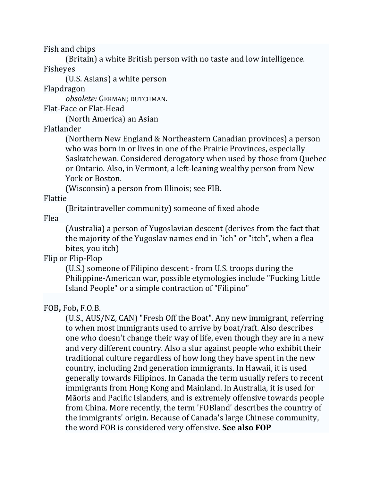Fish and chips

(Britain) a white British person with no taste and low intelligence. Fisheyes 

(U.S. Asians) a white person

Flapdragon 

*obsolete:* GERMAN; DUTCHMAN. 

Flat-Face or Flat-Head

(North America) an Asian

Flatlander 

(Northern New England & Northeastern Canadian provinces) a person who was born in or lives in one of the Prairie Provinces, especially Saskatchewan. Considered derogatory when used by those from Quebec or Ontario. Also, in Vermont, a left-leaning wealthy person from New York or Boston.

(Wisconsin) a person from Illinois; see FIB.

Flattie 

(Britaintraveller community) someone of fixed abode

Flea 

(Australia) a person of Yugoslavian descent (derives from the fact that the majority of the Yugoslay names end in "ich" or "itch", when a flea bites, you itch)

Flip or Flip-Flop

(U.S.) someone of Filipino descent - from U.S. troops during the Philippine-American war, possible etymologies include "Fucking Little Island People" or a simple contraction of "Filipino"

# FOB**,** Fob**,** F.O.B.

(U.S., AUS/NZ, CAN) "Fresh Off the Boat". Any new immigrant, referring to when most immigrants used to arrive by boat/raft. Also describes one who doesn't change their way of life, even though they are in a new and very different country. Also a slur against people who exhibit their traditional culture regardless of how long they have spent in the new country, including 2nd generation immigrants. In Hawaii, it is used generally towards Filipinos. In Canada the term usually refers to recent immigrants from Hong Kong and Mainland. In Australia, it is used for Māoris and Pacific Islanders, and is extremely offensive towards people from China. More recently, the term 'FOBland' describes the country of the immigrants' origin. Because of Canada's large Chinese community, the word FOB is considered very offensive. See also FOP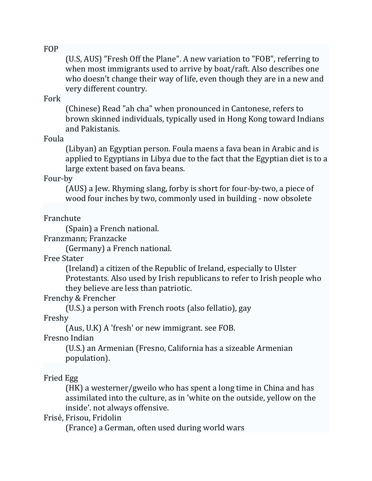FOP 

(U.S, AUS) "Fresh Off the Plane". A new variation to "FOB", referring to when most immigrants used to arrive by boat/raft. Also describes one who doesn't change their way of life, even though they are in a new and very different country.

#### Fork

(Chinese) Read "ah cha" when pronounced in Cantonese, refers to brown skinned individuals, typically used in Hong Kong toward Indians and Pakistanis.

Foula 

(Libyan) an Egyptian person. Foula maens a fava bean in Arabic and is applied to Egyptians in Libya due to the fact that the Egyptian diet is to a large extent based on fava beans.

Four‐by 

(AUS) a Jew. Rhyming slang, forby is short for four-by-two, a piece of wood four inches by two, commonly used in building - now obsolete

Franchute 

(Spain) a French national.

Franzmann; Franzacke

(Germany) a French national.

Free Stater 

(Ireland) a citizen of the Republic of Ireland, especially to Ulster Protestants. Also used by Irish republicans to refer to Irish people who they believe are less than patriotic.

Frenchy & Frencher 

(U.S.) a person with French roots (also fellatio), gay

Freshy 

(Aus, U.K) A 'fresh' or new immigrant. see FOB.

Fresno Indian 

(U.S.) an Armenian (Fresno, California has a sizeable Armenian population). 

# Fried Egg

 $(HK)$  a westerner/gweilo who has spent a long time in China and has assimilated into the culture, as in 'white on the outside, yellow on the inside'. not always offensive.

Frisé, Frisou, Fridolin 

(France) a German, often used during world wars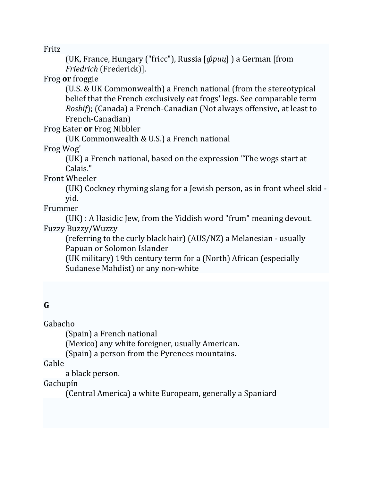Fritz 

(UK, France, Hungary ("fricc"), Russia [*фриц*] ) a German [from *Friedrich* (Frederick)]. 

Frog **or** froggie 

(U.S. & UK Commonwealth) a French national (from the stereotypical belief that the French exclusively eat frogs' legs. See comparable term *Rosbif*); (Canada) a French-Canadian (Not always offensive, at least to French‐Canadian) 

Frog Eater or Frog Nibbler

(UK Commonwealth & U.S.) a French national

Frog Wog' 

(UK) a French national, based on the expression "The wogs start at Calais." 

Front Wheeler

(UK) Cockney rhyming slang for a Jewish person, as in front wheel skid  $\overline{\phantom{a}}$ yid. 

Frummer 

 $(UK)$ : A Hasidic Jew, from the Yiddish word "frum" meaning devout. Fuzzy Buzzy/Wuzzy 

(referring to the curly black hair)  $(AUS/NZ)$  a Melanesian - usually Papuan or Solomon Islander

(UK military) 19th century term for a (North) African (especially Sudanese Mahdist) or any non-white

# **G**

Gabacho 

(Spain) a French national

(Mexico) any white foreigner, usually American.

(Spain) a person from the Pyrenees mountains.

Gable 

a black person.

Gachupín 

(Central America) a white Europeam, generally a Spaniard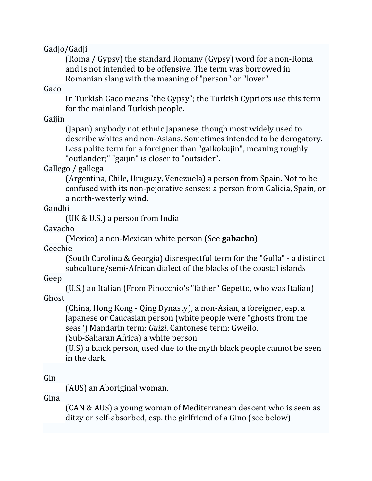Gadjo/Gadji 

(Roma / Gypsy) the standard Romany (Gypsy) word for a non-Roma and is not intended to be offensive. The term was borrowed in Romanian slang with the meaning of "person" or "lover"

Gaco 

In Turkish Gaco means "the Gypsy"; the Turkish Cypriots use this term for the mainland Turkish people.

Gaijin 

(Japan) anybody not ethnic Japanese, though most widely used to describe whites and non-Asians. Sometimes intended to be derogatory. Less polite term for a foreigner than "gaikokujin", meaning roughly "outlander;" "gaijin" is closer to "outsider".

Gallego / gallega

(Argentina, Chile, Uruguay, Venezuela) a person from Spain. Not to be confused with its non-pejorative senses: a person from Galicia, Spain, or a north-westerly wind.

Gandhi 

(UK & U.S.) a person from India

Gavacho 

(Mexico) a non‐Mexican white person (See **gabacho**) 

Geechie 

(South Carolina & Georgia) disrespectful term for the "Gulla" - a distinct subculture/semi-African dialect of the blacks of the coastal islands

Geep' 

(U.S.) an Italian (From Pinocchio's "father" Gepetto, who was Italian) Ghost 

(China, Hong Kong - Qing Dynasty), a non-Asian, a foreigner, esp. a Japanese or Caucasian person (white people were "ghosts from the seas") Mandarin term: Guizi. Cantonese term: Gweilo.

(Sub‐Saharan Africa) a white person 

(U.S) a black person, used due to the myth black people cannot be seen in the dark.

Gin 

(AUS) an Aboriginal woman.

Gina 

(CAN & AUS) a young woman of Mediterranean descent who is seen as ditzy or self-absorbed, esp. the girlfriend of a Gino (see below)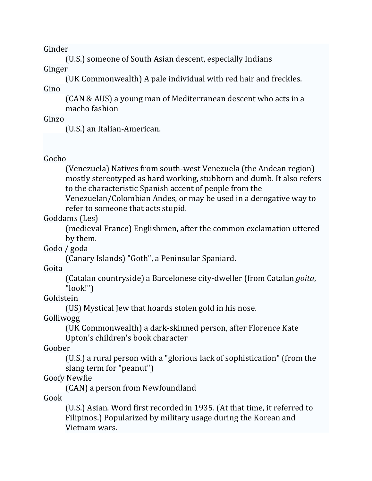Ginder 

(U.S.) someone of South Asian descent, especially Indians Ginger 

(UK Commonwealth) A pale individual with red hair and freckles. Gino 

(CAN & AUS) a young man of Mediterranean descent who acts in a macho fashion

Ginzo 

(U.S.) an Italian-American.

# Gocho

(Venezuela) Natives from south-west Venezuela (the Andean region) mostly stereotyped as hard working, stubborn and dumb. It also refers to the characteristic Spanish accent of people from the

Venezuelan/Colombian Andes, or may be used in a derogative way to refer to someone that acts stupid.

Goddams (Les)

(medieval France) Englishmen, after the common exclamation uttered by them.

Godo / goda

(Canary Islands) "Goth", a Peninsular Spaniard.

Goita 

(Catalan countryside) a Barcelonese city‐dweller (from Catalan *goita*, "look!") 

Goldstein 

(US) Mystical Jew that hoards stolen gold in his nose.

Golliwogg 

(UK Commonwealth) a dark-skinned person, after Florence Kate Upton's children's book character

Goober 

(U.S.) a rural person with a "glorious lack of sophistication" (from the slang term for "peanut")

Goofy Newfie 

(CAN) a person from Newfoundland

Gook 

(U.S.) Asian. Word first recorded in 1935. (At that time, it referred to Filipinos.) Popularized by military usage during the Korean and Vietnam wars.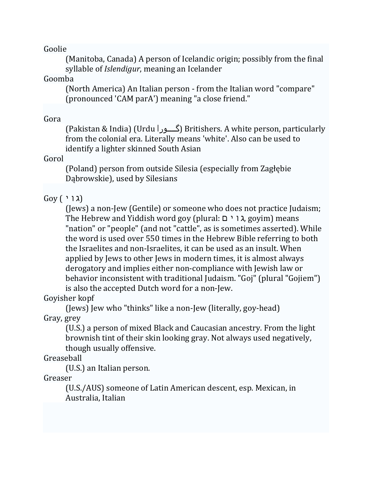Goolie 

(Manitoba, Canada) A person of Icelandic origin; possibly from the final syllable of *Islendigur*, meaning an Icelander

#### Goomba

(North America) An Italian person - from the Italian word "compare" (pronounced 'CAM parA') meaning "a close friend."

#### Gora

(Pakistan & India) (Urdu | اگـــورا) Britishers. A white person, particularly from the colonial era. Literally means 'white'. Also can be used to identify a lighter skinned South Asian

#### Gorol

(Poland) person from outside Silesia (especially from Zagłębie Dąbrowskie), used by Silesians

# (גו י ) Goy

(Jews) a non-Jew (Gentile) or someone who does not practice Judaism; The Hebrew and Yiddish word goy (plural: גוים, goyim) means "nation" or "people" (and not "cattle", as is sometimes asserted). While the word is used over 550 times in the Hebrew Bible referring to both the Israelites and non-Israelites, it can be used as an insult. When applied by Jews to other Jews in modern times, it is almost always derogatory and implies either non-compliance with Jewish law or behavior inconsistent with traditional Judaism. "Goj" (plural "Gojiem") is also the accepted Dutch word for a non-Jew.

Goyisher kopf

(Jews) Jew who "thinks" like a non-Jew (literally, goy-head) Gray, grey

(U.S.) a person of mixed Black and Caucasian ancestry. From the light brownish tint of their skin looking gray. Not always used negatively, though usually offensive.

# Greaseball

(U.S.) an Italian person.

Greaser 

(U.S./AUS) someone of Latin American descent, esp. Mexican, in Australia, Italian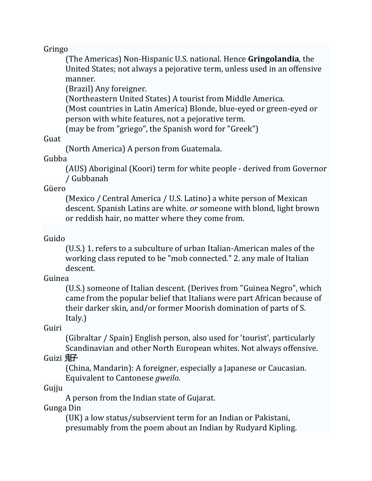### Gringo

(The Americas) Non-Hispanic U.S. national. Hence **Gringolandia**, the United States; not always a pejorative term, unless used in an offensive manner. 

(Brazil) Any foreigner.

(Northeastern United States) A tourist from Middle America.

(Most countries in Latin America) Blonde, blue-eyed or green-eyed or person with white features, not a pejorative term.

(may be from "griego", the Spanish word for "Greek")

### Guat

(North America) A person from Guatemala.

### Gubba

(AUS) Aboriginal (Koori) term for white people - derived from Governor / Gubbanah 

Güero 

(Mexico / Central America / U.S. Latino) a white person of Mexican descent. Spanish Latins are white. *or* someone with blond, light brown or reddish hair, no matter where they come from.

# Guido

(U.S.) 1. refers to a subculture of urban Italian-American males of the working class reputed to be "mob connected." 2. any male of Italian descent. 

Guinea 

(U.S.) someone of Italian descent. (Derives from "Guinea Negro", which came from the popular belief that Italians were part African because of their darker skin, and/or former Moorish domination of parts of S. Italy.) 

Guiri 

(Gibraltar / Spain) English person, also used for 'tourist', particularly Scandinavian and other North European whites. Not always offensive.

Guizi  $\overline{R}$ 

(China, Mandarin): A foreigner, especially a Japanese or Caucasian. Equivalent to Cantonese *gweilo*.

Gujju 

A person from the Indian state of Gujarat.

Gunga Din 

(UK) a low status/subservient term for an Indian or Pakistani, presumably from the poem about an Indian by Rudyard Kipling.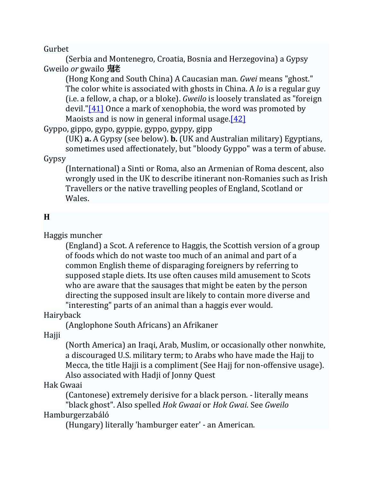Gurbet 

(Serbia and Montenegro, Croatia, Bosnia and Herzegovina) a Gypsy Gweilo or gwailo 鬼老

(Hong Kong and South China) A Caucasian man. *Gwei* means "ghost." The color white is associated with ghosts in China. A *lo* is a regular guy (i.e. a fellow, a chap, or a bloke). *Gweilo* is loosely translated as "foreign devil." $[41]$  Once a mark of xenophobia, the word was promoted by Maoists and is now in general informal usage. $[42]$ 

Gyppo, gippo, gypo, gyppie, gyppo, gyppy, gipp

(UK) **a.** A Gypsy (see below). **b.** (UK and Australian military) Egyptians, sometimes used affectionately, but "bloody Gyppo" was a term of abuse.

Gypsy 

(International) a Sinti or Roma, also an Armenian of Roma descent, also wrongly used in the UK to describe itinerant non-Romanies such as Irish Travellers or the native travelling peoples of England, Scotland or Wales. 

# **H**

Haggis muncher 

(England) a Scot. A reference to Haggis, the Scottish version of a group of foods which do not waste too much of an animal and part of a common English theme of disparaging foreigners by referring to supposed staple diets. Its use often causes mild amusement to Scots who are aware that the sausages that might be eaten by the person directing the supposed insult are likely to contain more diverse and "interesting" parts of an animal than a haggis ever would.

Hairyback 

(Anglophone South Africans) an Afrikaner

Hajji 

(North America) an Iraqi, Arab, Muslim, or occasionally other nonwhite, a discouraged U.S. military term; to Arabs who have made the Hajj to Mecca, the title Hajji is a compliment (See Hajj for non-offensive usage). Also associated with Hadji of Jonny Quest

# Hak Gwaai

(Cantonese) extremely derisive for a black person. - literally means "black ghost". Also spelled *Hok Gwaai* or *Hok Gwai*. See *Gweilo* Hamburgerzabáló 

(Hungary) literally 'hamburger eater' - an American.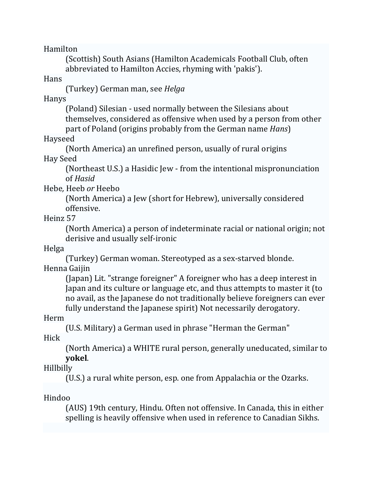Hamilton 

(Scottish) South Asians (Hamilton Academicals Football Club, often abbreviated to Hamilton Accies, rhyming with 'pakis').

Hans 

(Turkey) German man, see *Helga* 

Hanys 

(Poland) Silesian - used normally between the Silesians about themselves, considered as offensive when used by a person from other

part of Poland (origins probably from the German name *Hans*) Hayseed 

(North America) an unrefined person, usually of rural origins Hay Seed 

(Northeast U.S.) a Hasidic Jew - from the intentional mispronunciation of *Hasid* 

Hebe*,* Heeb *or* Heebo 

(North America) a Jew (short for Hebrew), universally considered offensive. 

Heinz 57 

(North America) a person of indeterminate racial or national origin; not derisive and usually self-ironic

Helga 

(Turkey) German woman. Stereotyped as a sex-starved blonde. Henna Gaijin 

(Japan) Lit. "strange foreigner" A foreigner who has a deep interest in Japan and its culture or language etc, and thus attempts to master it (to no avail, as the Japanese do not traditionally believe foreigners can ever fully understand the Japanese spirit) Not necessarily derogatory.

Herm 

(U.S. Military) a German used in phrase "Herman the German"

Hick 

(North America) a WHITE rural person, generally uneducated, similar to **yokel**. 

Hillbilly 

(U.S.) a rural white person, esp. one from Appalachia or the Ozarks.

Hindoo 

(AUS) 19th century, Hindu. Often not offensive. In Canada, this in either spelling is heavily offensive when used in reference to Canadian Sikhs.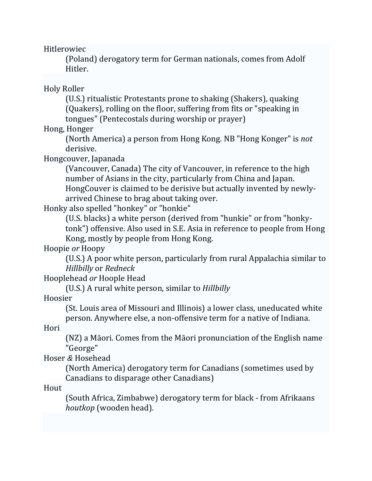Hitlerowiec 

(Poland) derogatory term for German nationals, comes from Adolf Hitler. 

Holy Roller 

(U.S.) ritualistic Protestants prone to shaking (Shakers), quaking (Quakers), rolling on the floor, suffering from fits or "speaking in tongues" (Pentecostals during worship or prayer)

Hong, Honger

(North America) a person from Hong Kong. NB "Hong Konger" is *not* derisive. 

Hongcouver, Japanada

(Vancouver, Canada) The city of Vancouver, in reference to the high number of Asians in the city, particularly from China and Japan. HongCouver is claimed to be derisive but actually invented by newlyarrived Chinese to brag about taking over.

Honky also spelled "honkey" or "honkie"

(U.S. blacks) a white person (derived from "hunkie" or from "honkytonk") offensive. Also used in S.E. Asia in reference to people from Hong Kong, mostly by people from Hong Kong.

Hoopie or Hoopy

(U.S.) A poor white person, particularly from rural Appalachia similar to *Hillbilly* or *Redneck* 

Hooplehead *or* Hoople Head 

(U.S.) A rural white person, similar to *Hillbilly* 

Hoosier 

(St. Louis area of Missouri and Illinois) a lower class, uneducated white person. Anywhere else, a non-offensive term for a native of Indiana.

Hori 

(NZ) a Māori. Comes from the Māori pronunciation of the English name "George" 

Hoser *&* Hosehead 

(North America) derogatory term for Canadians (sometimes used by Canadians to disparage other Canadians)

Hout 

(South Africa, Zimbabwe) derogatory term for black - from Afrikaans *houtkop* (wooden head).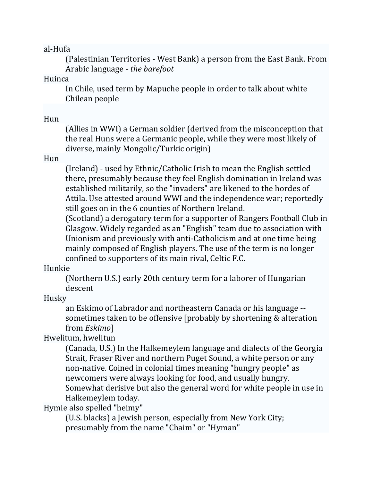al‐Hufa 

(Palestinian Territories - West Bank) a person from the East Bank. From Arabic language ‐ *the barefoot* 

Huinca 

In Chile, used term by Mapuche people in order to talk about white Chilean people 

### Hun

(Allies in WWI) a German soldier (derived from the misconception that the real Huns were a Germanic people, while they were most likely of diverse, mainly Mongolic/Turkic origin)

### Hun

(Ireland) - used by Ethnic/Catholic Irish to mean the English settled there, presumably because they feel English domination in Ireland was established militarily, so the "invaders" are likened to the hordes of Attila. Use attested around WWI and the independence war; reportedly still goes on in the 6 counties of Northern Ireland.

(Scotland) a derogatory term for a supporter of Rangers Football Club in Glasgow. Widely regarded as an "English" team due to association with Unionism and previously with anti-Catholicism and at one time being mainly composed of English players. The use of the term is no longer confined to supporters of its main rival, Celtic F.C.

## Hunkie

(Northern U.S.) early 20th century term for a laborer of Hungarian descent 

Husky 

an Eskimo of Labrador and northeastern Canada or his language -sometimes taken to be offensive [probably by shortening & alteration from *Eskimo*] 

## Hwelitum, hwelitun

(Canada, U.S.) In the Halkemeylem language and dialects of the Georgia Strait, Fraser River and northern Puget Sound, a white person or any non-native. Coined in colonial times meaning "hungry people" as newcomers were always looking for food, and usually hungry. Somewhat derisive but also the general word for white people in use in Halkemeylem today.

Hymie also spelled "heimy"

(U.S. blacks) a Jewish person, especially from New York City; presumably from the name "Chaim" or "Hyman"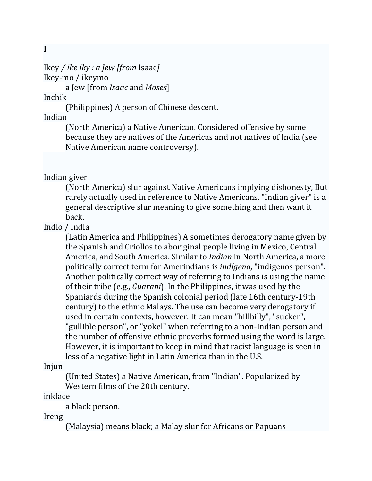**I**

Ikey */ ike iky : a Jew [from* Isaac*]* Ikey‐mo / ikeymo 

a Jew [from *Isaac* and *Moses*] 

Inchik 

(Philippines) A person of Chinese descent.

Indian 

(North America) a Native American. Considered offensive by some because they are natives of the Americas and not natives of India (see Native American name controversy).

Indian giver 

(North America) slur against Native Americans implying dishonesty, But rarely actually used in reference to Native Americans. "Indian giver" is a general descriptive slur meaning to give something and then want it back. 

Indio / India 

(Latin America and Philippines) A sometimes derogatory name given by the Spanish and Criollos to aboriginal people living in Mexico, Central America, and South America. Similar to *Indian* in North America, a more politically correct term for Amerindians is *indígena*, "indigenos person". Another politically correct way of referring to Indians is using the name of their tribe (e.g., *Guaraní*). In the Philippines, it was used by the Spaniards during the Spanish colonial period (late 16th century-19th century) to the ethnic Malays. The use can become very derogatory if used in certain contexts, however. It can mean "hillbilly", "sucker", "gullible person", or "yokel" when referring to a non-Indian person and the number of offensive ethnic proverbs formed using the word is large. However, it is important to keep in mind that racist language is seen in less of a negative light in Latin America than in the U.S.

Injun 

(United States) a Native American, from "Indian". Popularized by Western films of the 20th century.

inkface 

a black person.

Ireng 

(Malaysia) means black; a Malay slur for Africans or Papuans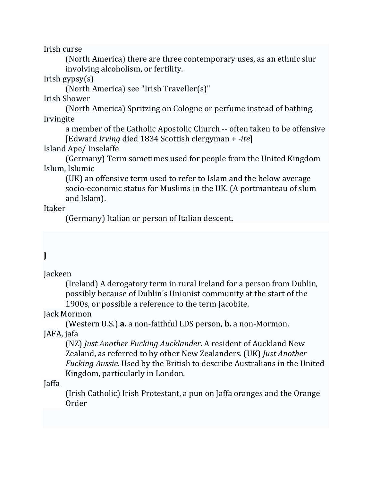Irish curse 

(North America) there are three contemporary uses, as an ethnic slur involving alcoholism, or fertility.

 $Irish gypsy(s)$ 

(North America) see "Irish Traveller(s)" 

Irish Shower 

(North America) Spritzing on Cologne or perfume instead of bathing. Irvingite 

a member of the Catholic Apostolic Church -- often taken to be offensive [Edward *Irving* died 1834 Scottish clergyman + *‐ite*] 

Island Ape/ Inselaffe 

(Germany) Term sometimes used for people from the United Kingdom Islum, Islumic

(UK) an offensive term used to refer to Islam and the below average socio-economic status for Muslims in the UK. (A portmanteau of slum and Islam).

Itaker 

(Germany) Italian or person of Italian descent.

# **J**

Jackeen 

(Ireland) A derogatory term in rural Ireland for a person from Dublin, possibly because of Dublin's Unionist community at the start of the 1900s, or possible a reference to the term Jacobite.

Jack Mormon

(Western U.S.) **a.** a non-faithful LDS person, **b.** a non-Mormon.

JAFA, jafa

(NZ) *Just Another Fucking Aucklander*. A resident of Auckland New Zealand, as referred to by other New Zealanders. (UK) *Just Another Fucking Aussie*. Used by the British to describe Australians in the United Kingdom, particularly in London.

Jaffa 

(Irish Catholic) Irish Protestant, a pun on Jaffa oranges and the Orange Order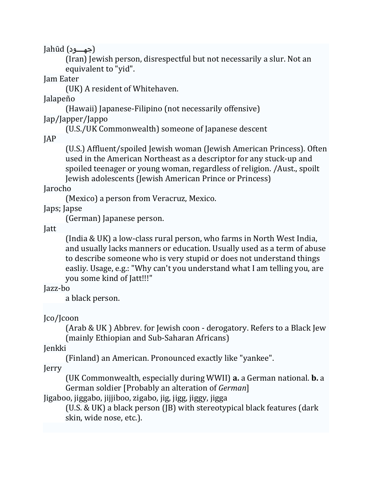Jahūd (جهـــود)

(Iran) Jewish person, disrespectful but not necessarily a slur. Not an equivalent to "yid".

Jam Eater 

(UK) A resident of Whitehaven.

Jalapeño 

(Hawaii) Japanese-Filipino (not necessarily offensive)

Jap/Japper/Jappo 

(U.S./UK Commonwealth) someone of Japanese descent

JAP 

(U.S.) Affluent/spoiled Jewish woman (Jewish American Princess). Often used in the American Northeast as a descriptor for any stuck-up and spoiled teenager or young woman, regardless of religion. /Aust., spoilt Jewish adolescents (Jewish American Prince or Princess)

Jarocho 

(Mexico) a person from Veracruz, Mexico.

Japs; Japse

(German) Japanese person.

Jatt 

(India & UK) a low-class rural person, who farms in North West India, and usually lacks manners or education. Usually used as a term of abuse to describe someone who is very stupid or does not understand things easliy. Usage, e.g.: "Why can't you understand what I am telling you, are you some kind of [att!!!"

Jazz‐bo 

a black person.

Jco/Jcoon 

(Arab & UK) Abbrev. for Jewish coon - derogatory. Refers to a Black Jew (mainly Ethiopian and Sub-Saharan Africans)

Jenkki 

(Finland) an American. Pronounced exactly like "yankee".

Jerry 

(UK Commonwealth, especially during WWII) **a.** a German national. **b.** a German soldier [Probably an alteration of *German*]

Jigaboo, jiggabo, jijjiboo, zigabo, jig, jigg, jiggy, jigga

(U.S. & UK) a black person (JB) with stereotypical black features (dark skin, wide nose, etc.).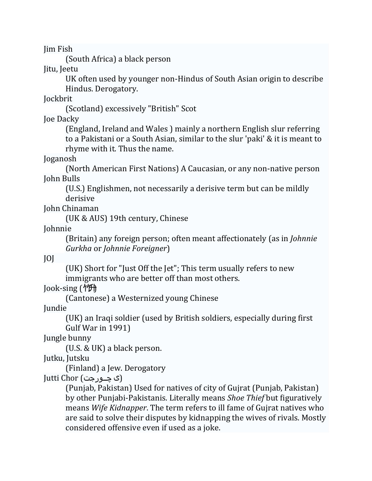Jim Fish 

(South Africa) a black person

Jitu, Jeetu

UK often used by younger non-Hindus of South Asian origin to describe Hindus. Derogatory. 

**Jockbrit** 

(Scotland) excessively "British" Scot

Joe Dacky

(England, Ireland and Wales) mainly a northern English slur referring to a Pakistani or a South Asian, similar to the slur 'paki' & it is meant to rhyme with it. Thus the name.

Joganosh 

(North American First Nations) A Caucasian, or any non-native person John Bulls

(U.S.) Englishmen, not necessarily a derisive term but can be mildly derisive 

John Chinaman 

(UK & AUS) 19th century, Chinese

Johnnie 

(Britain) any foreign person; often meant affectionately (as in *Johnnie*) *Gurkha* or *Johnnie Foreigner*) 

JOJ 

(UK) Short for "Just Off the Jet"; This term usually refers to new immigrants who are better off than most others.

Jook-sing  $($ 

(Cantonese) a Westernized young Chinese

Jundie 

(UK) an Iraqi soldier (used by British soldiers, especially during first Gulf War in 1991)

Jungle bunny

(U.S.  $&$  UK) a black person.

Jutku, Jutsku

(Finland) a Jew. Derogatory

 $J$ ( ی چــور جت) $($   $\Box$ 

(Punjab, Pakistan) Used for natives of city of Gujrat (Punjab, Pakistan) by other Punjabi-Pakistanis. Literally means *Shoe Thief* but figuratively means *Wife Kidnapper*. The term refers to ill fame of Gujrat natives who are said to solve their disputes by kidnapping the wives of rivals. Mostly considered offensive even if used as a joke.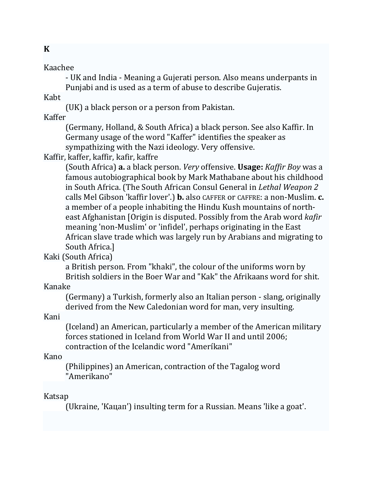### Kaachee

- UK and India - Meaning a Gujerati person. Also means underpants in Punjabi and is used as a term of abuse to describe Gujeratis.

Kabt 

(UK) a black person or a person from Pakistan.

Kaffer 

(Germany, Holland, & South Africa) a black person. See also Kaffir. In Germany usage of the word "Kaffer" identifies the speaker as sympathizing with the Nazi ideology. Very offensive.

Kaffir, kaffer, kaffir, kafir, kaffre

(South Africa) **a.** a black person. *Very* offensive. **Usage:** *Kaffir Boy* was a famous autobiographical book by Mark Mathabane about his childhood in South Africa. (The South African Consul General in *Lethal Weapon 2* calls Mel Gibson 'kaffir lover'.) **b.** also CAFFER or CAFFRE: a non-Muslim. **c.** a member of a people inhabiting the Hindu Kush mountains of northeast Afghanistan [Origin is disputed. Possibly from the Arab word *kafir* meaning 'non-Muslim' or 'infidel', perhaps originating in the East African slave trade which was largely run by Arabians and migrating to South Africa.]

## Kaki (South Africa)

a British person. From "khaki", the colour of the uniforms worn by British soldiers in the Boer War and "Kak" the Afrikaans word for shit.

### Kanake

(Germany) a Turkish, formerly also an Italian person - slang, originally derived from the New Caledonian word for man, very insulting.

### Kani

(Iceland) an American, particularly a member of the American military forces stationed in Iceland from World War II and until 2006; contraction of the Icelandic word "Ameríkani"

### Kano

(Philippines) an American, contraction of the Tagalog word "Amerikano" 

### Katsap

(Ukraine, 'Кацап') insulting term for a Russian. Means 'like a goat'.

## **K**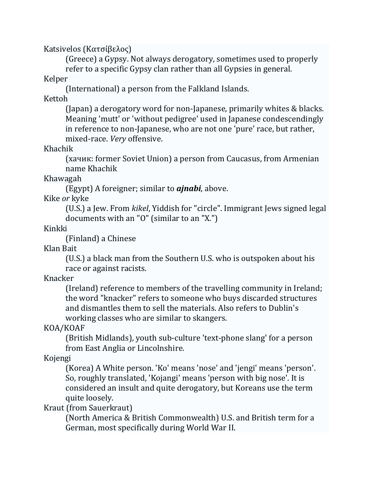Katsivelos (Κατσίβελος)

(Greece) a Gypsy. Not always derogatory, sometimes used to properly refer to a specific Gypsy clan rather than all Gypsies in general.

Kelper 

(International) a person from the Falkland Islands.

Kettoh 

(Japan) a derogatory word for non-Japanese, primarily whites  $&$  blacks. Meaning 'mutt' or 'without pedigree' used in Japanese condescendingly in reference to non-Japanese, who are not one 'pure' race, but rather, mixed‐race. *Very* offensive. 

Khachik 

(хачик: former Soviet Union) a person from Caucasus, from Armenian name Khachik 

Khawagah 

(Egypt) A foreigner; similar to *ajnabi*, above.

Kike or kyke

(U.S.) a Jew. From *kikel*, Yiddish for "circle". Immigrant Jews signed legal documents with an "O" (similar to an "X.")

Kinkki 

(Finland) a Chinese

Klan Bait 

(U.S.) a black man from the Southern U.S. who is outspoken about his race or against racists.

Knacker 

(Ireland) reference to members of the travelling community in Ireland; the word "knacker" refers to someone who buys discarded structures and dismantles them to sell the materials. Also refers to Dublin's working classes who are similar to skangers.

KOA/KOAF 

(British Midlands), youth sub-culture 'text-phone slang' for a person from East Anglia or Lincolnshire.

Kojengi 

(Korea) A White person. 'Ko' means 'nose' and 'jengi' means 'person'. So, roughly translated, 'Kojangi' means 'person with big nose'. It is considered an insult and quite derogatory, but Koreans use the term quite loosely.

Kraut (from Sauerkraut)

(North America & British Commonwealth) U.S. and British term for a German, most specifically during World War II.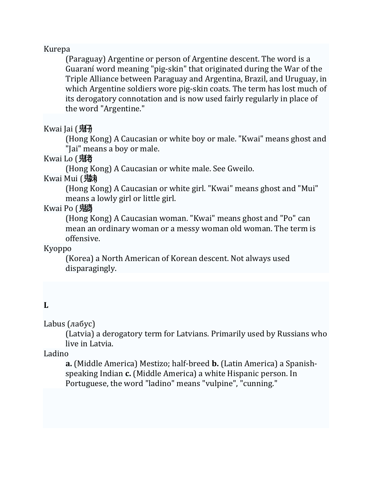### Kurepa

(Paraguay) Argentine or person of Argentine descent. The word is a Guaraní word meaning "pig-skin" that originated during the War of the Triple Alliance between Paraguay and Argentina, Brazil, and Uruguay, in which Argentine soldiers wore pig-skin coats. The term has lost much of its derogatory connotation and is now used fairly regularly in place of the word "Argentine."

Kwai Jai  $( **^\n{H}\n**$ 

(Hong Kong) A Caucasian or white boy or male. "Kwai" means ghost and "Jai" means a boy or male.

Kwai Lo (鬼者

(Hong Kong) A Caucasian or white male. See Gweilo.

Kwai Mui (鬼未

(Hong Kong) A Caucasian or white girl. "Kwai" means ghost and "Mui" means a lowly girl or little girl.

## Kwai Po (鬼

(Hong Kong) A Caucasian woman. "Kwai" means ghost and "Po" can mean an ordinary woman or a messy woman old woman. The term is offensive. 

Kyoppo 

(Korea) a North American of Korean descent. Not always used disparagingly. 

### **L**

Labus  $(na6yc)$ 

(Latvia) a derogatory term for Latvians. Primarily used by Russians who live in Latvia.

Ladino 

**a.** (Middle America) Mestizo; half-breed **b.** (Latin America) a Spanishspeaking Indian **c.** (Middle America) a white Hispanic person. In Portuguese, the word "ladino" means "vulpine", "cunning."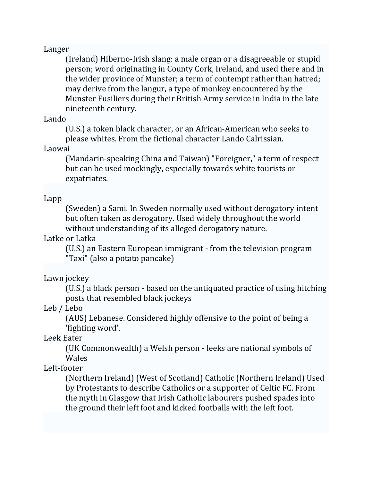#### Langer

(Ireland) Hiberno-Irish slang: a male organ or a disagreeable or stupid person; word originating in County Cork, Ireland, and used there and in the wider province of Munster; a term of contempt rather than hatred; may derive from the langur, a type of monkey encountered by the Munster Fusiliers during their British Army service in India in the late nineteenth century.

### Lando

(U.S.) a token black character, or an African-American who seeks to please whites. From the fictional character Lando Calrissian.

### Laowai

(Mandarin-speaking China and Taiwan) "Foreigner," a term of respect but can be used mockingly, especially towards white tourists or expatriates. 

### Lapp

(Sweden) a Sami. In Sweden normally used without derogatory intent but often taken as derogatory. Used widely throughout the world without understanding of its alleged derogatory nature.

### Latke or Latka

(U.S.) an Eastern European immigrant - from the television program "Taxi" (also a potato pancake)

### Lawn jockey

(U.S.) a black person - based on the antiquated practice of using hitching posts that resembled black jockeys

## Leb / Lebo

(AUS) Lebanese. Considered highly offensive to the point of being a 'fighting word'.

### Leek Eater

(UK Commonwealth) a Welsh person - leeks are national symbols of Wales 

## Left‐footer

(Northern Ireland) (West of Scotland) Catholic (Northern Ireland) Used by Protestants to describe Catholics or a supporter of Celtic FC. From the myth in Glasgow that Irish Catholic labourers pushed spades into the ground their left foot and kicked footballs with the left foot.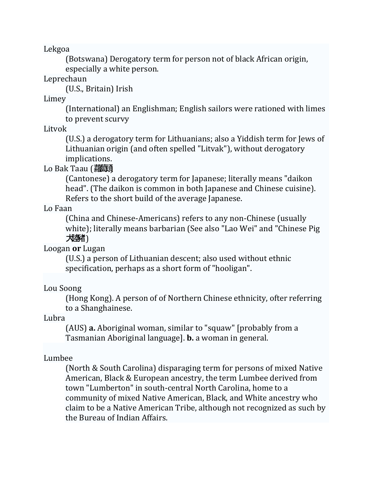Lekgoa 

(Botswana) Derogatory term for person not of black African origin, especially a white person.

Leprechaun 

(U.S., Britain) Irish

Limey 

(International) an Englishman; English sailors were rationed with limes to prevent scurvy

Litvok 

(U.S.) a derogatory term for Lithuanians; also a Yiddish term for Jews of Lithuanian origin (and often spelled "Litvak"), without derogatory implications. 

Lo Bak Taau (蘿萌

(Cantonese) a derogatory term for Japanese; literally means "daikon head". (The daikon is common in both Japanese and Chinese cuisine). Refers to the short build of the average Japanese.

Lo Faan 

(China and Chinese-Americans) refers to any non-Chinese (usually white); literally means barbarian (See also "Lao Wei" and "Chinese Pig 大陸豬)

Loogan **or** Lugan 

(U.S.) a person of Lithuanian descent; also used without ethnic specification, perhaps as a short form of "hooligan".

## Lou Soong

(Hong Kong). A person of of Northern Chinese ethnicity, ofter referring to a Shanghainese.

Lubra 

(AUS) **a.** Aboriginal woman, similar to "squaw" (probably from a Tasmanian Aboriginal language]. **b.** a woman in general.

## Lumbee

(North & South Carolina) disparaging term for persons of mixed Native American, Black & European ancestry, the term Lumbee derived from town "Lumberton" in south-central North Carolina, home to a community of mixed Native American, Black, and White ancestry who claim to be a Native American Tribe, although not recognized as such by the Bureau of Indian Affairs.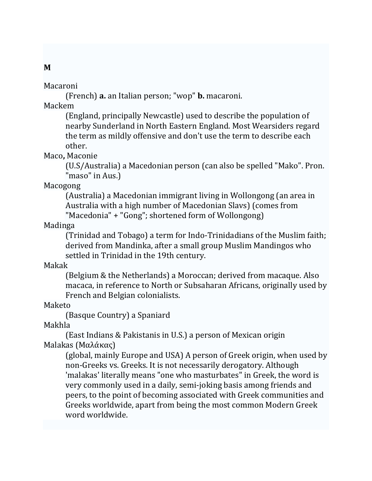### Macaroni

(French) **a.** an Italian person; "wop" **b.** macaroni. 

Mackem 

(England, principally Newcastle) used to describe the population of nearby Sunderland in North Eastern England. Most Wearsiders regard the term as mildly offensive and don't use the term to describe each other. 

Maco**,** Maconie 

(U.S/Australia) a Macedonian person (can also be spelled "Mako". Pron. "maso" in Aus.)

Macogong 

(Australia) a Macedonian immigrant living in Wollongong (an area in Australia with a high number of Macedonian Slavs) (comes from "Macedonia" + "Gong"; shortened form of Wollongong)

Madinga 

(Trinidad and Tobago) a term for Indo-Trinidadians of the Muslim faith; derived from Mandinka, after a small group Muslim Mandingos who settled in Trinidad in the 19th century.

Makak 

(Belgium & the Netherlands) a Moroccan; derived from macaque. Also macaca, in reference to North or Subsaharan Africans, originally used by French and Belgian colonialists.

Maketo 

(Basque Country) a Spaniard

Makhla 

(East Indians & Pakistanis in U.S.) a person of Mexican origin Malakas (Μαλάκας)

(global, mainly Europe and USA) A person of Greek origin, when used by non-Greeks vs. Greeks. It is not necessarily derogatory. Although 'malakas' literally means "one who masturbates" in Greek, the word is very commonly used in a daily, semi-joking basis among friends and peers, to the point of becoming associated with Greek communities and Greeks worldwide, apart from being the most common Modern Greek word worldwide.

### **M**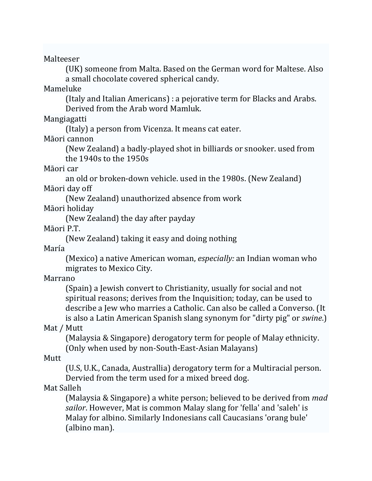Malteeser 

(UK) someone from Malta. Based on the German word for Maltese. Also a small chocolate covered spherical candy.

Mameluke 

(Italy and Italian Americans) : a pejorative term for Blacks and Arabs. Derived from the Arab word Mamluk.

Mangiagatti 

(Italy) a person from Vicenza. It means cat eater.

Māori cannon

(New Zealand) a badly-played shot in billiards or snooker. used from the  $1940s$  to the  $1950s$ 

Māori car

an old or broken-down vehicle. used in the 1980s. (New Zealand) Māori day off

(New Zealand) unauthorized absence from work

Māori holiday

(New Zealand) the day after payday

Māori P.T.

(New Zealand) taking it easy and doing nothing

María 

(Mexico) a native American woman, *especially:* an Indian woman who migrates to Mexico City.

Marrano 

(Spain) a Jewish convert to Christianity, usually for social and not spiritual reasons; derives from the Inquisition; today, can be used to describe a Jew who marries a Catholic. Can also be called a Converso. (It is also a Latin American Spanish slang synonym for "dirty pig" or *swine*.)

Mat / Mutt

(Malaysia & Singapore) derogatory term for people of Malay ethnicity. (Only when used by non-South-East-Asian Malayans)

Mutt 

(U.S, U.K., Canada, Australlia) derogatory term for a Multiracial person. Dervied from the term used for a mixed breed dog.

Mat Salleh

(Malaysia & Singapore) a white person; believed to be derived from *mad sailor*. However, Mat is common Malay slang for 'fella' and 'saleh' is Malay for albino. Similarly Indonesians call Caucasians 'orang bule' (albino man).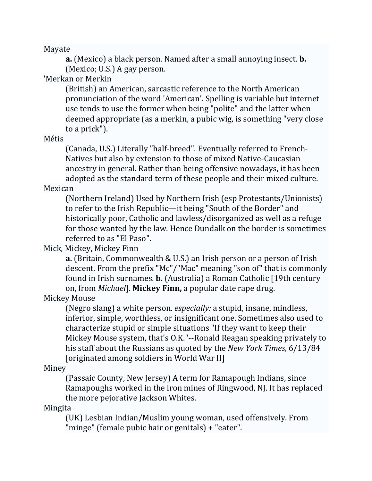Mayate 

**a.** (Mexico) a black person. Named after a small annoying insect. **b.** (Mexico; U.S.)  $A$  gay person.

## 'Merkan or Merkin

(British) an American, sarcastic reference to the North American pronunciation of the word 'American'. Spelling is variable but internet use tends to use the former when being "polite" and the latter when deemed appropriate (as a merkin, a pubic wig, is something "very close to a prick").

### Métis

(Canada, U.S.) Literally "half-breed". Eventually referred to French-Natives but also by extension to those of mixed Native-Caucasian ancestry in general. Rather than being offensive nowadays, it has been adopted as the standard term of these people and their mixed culture.

### Mexican

(Northern Ireland) Used by Northern Irish (esp Protestants/Unionists) to refer to the Irish Republic—it being "South of the Border" and historically poor, Catholic and lawless/disorganized as well as a refuge for those wanted by the law. Hence Dundalk on the border is sometimes referred to as "El Paso".

## Mick, Mickey, Mickey Finn

**a.** (Britain, Commonwealth & U.S.) an Irish person or a person of Irish descent. From the prefix "Mc"/"Mac" meaning "son of" that is commonly found in Irish surnames. **b.** (Australia) a Roman Catholic [19th century on, from *Michael*]. **Mickey Finn**, a popular date rape drug.

## Mickey Mouse

(Negro slang) a white person. *especially:* a stupid, insane, mindless, inferior, simple, worthless, or insignificant one. Sometimes also used to characterize stupid or simple situations "If they want to keep their Mickey Mouse system, that's O.K."--Ronald Reagan speaking privately to his staff about the Russians as quoted by the *New York Times*, 6/13/84 [originated among soldiers in World War II]

### Miney

(Passaic County, New Jersey) A term for Ramapough Indians, since Ramapoughs worked in the iron mines of Ringwood, NJ. It has replaced the more pejorative Jackson Whites.

Mingita 

(UK) Lesbian Indian/Muslim young woman, used offensively. From "minge" (female pubic hair or genitals) + "eater".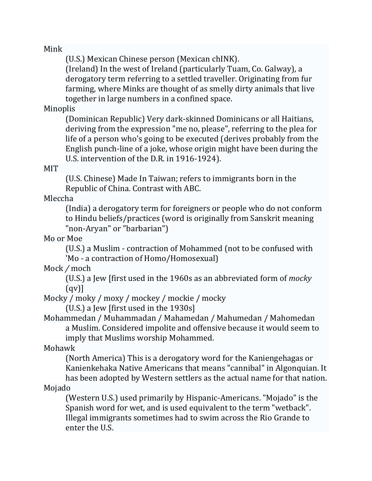Mink 

(U.S.) Mexican Chinese person (Mexican chINK).

(Ireland) In the west of Ireland (particularly Tuam, Co. Galway), a derogatory term referring to a settled traveller. Originating from fur farming, where Minks are thought of as smelly dirty animals that live together in large numbers in a confined space.

Minoplis 

(Dominican Republic) Very dark-skinned Dominicans or all Haitians, deriving from the expression "me no, please", referring to the plea for life of a person who's going to be executed (derives probably from the English punch-line of a joke, whose origin might have been during the U.S. intervention of the D.R. in 1916-1924).

MIT 

(U.S. Chinese) Made In Taiwan; refers to immigrants born in the Republic of China. Contrast with ABC.

Mleccha 

(India) a derogatory term for foreigners or people who do not conform to Hindu beliefs/practices (word is originally from Sanskrit meaning "non-Aryan" or "barbarian")

Mo or Moe

(U.S.) a Muslim - contraction of Mohammed (not to be confused with 'Mo - a contraction of Homo/Homosexual)

Mock */* moch 

(U.S.) a Jew [first used in the 1960s as an abbreviated form of *mocky*  $\lceil$  (qv) $\rceil$ 

Mocky / moky / moxy / mockey / mockie / mocky

(U.S.) a Jew [first used in the  $1930s$ ]

Mohammedan / Muhammadan / Mahamedan / Mahumedan / Mahomedan a Muslim. Considered impolite and offensive because it would seem to imply that Muslims worship Mohammed.

Mohawk 

(North America) This is a derogatory word for the Kaniengehagas or Kanienkehaka Native Americans that means "cannibal" in Algonquian. It has been adopted by Western settlers as the actual name for that nation.

Mojado 

(Western U.S.) used primarily by Hispanic-Americans. "Mojado" is the Spanish word for wet, and is used equivalent to the term "wetback". Illegal immigrants sometimes had to swim across the Rio Grande to enter the U.S.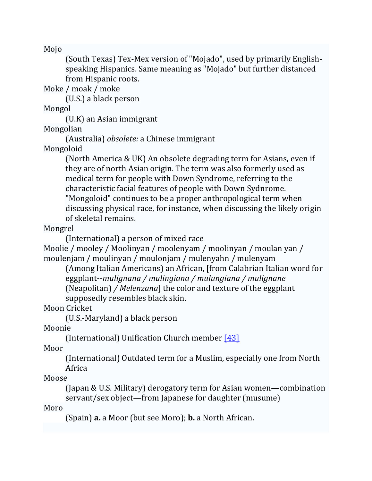Mojo 

(South Texas) Tex-Mex version of "Mojado", used by primarily Englishspeaking Hispanics. Same meaning as "Mojado" but further distanced from Hispanic roots.

Moke / moak / moke

(U.S.) a black person 

Mongol 

 $(U.K)$  an Asian immigrant

Mongolian 

(Australia) *obsolete:* a Chinese immigrant 

Mongoloid 

(North America & UK) An obsolete degrading term for Asians, even if they are of north Asian origin. The term was also formerly used as medical term for people with Down Syndrome, referring to the characteristic facial features of people with Down Sydnrome. "Mongoloid" continues to be a proper anthropological term when discussing physical race, for instance, when discussing the likely origin of skeletal remains.

Mongrel 

(International) a person of mixed race

Moolie / mooley / Moolinyan / moolenyam / moolinyan / moulan yan / moulenjam / moulinyan / moulonjam / mulenyahn / mulenyam

(Among Italian Americans) an African, [from Calabrian Italian word for eggplant‐‐*mulignana / mulingiana / mulungiana / mulignane* (Neapolitan) */ Melenzana*] the color and texture of the eggplant supposedly resembles black skin.

Moon Cricket

(U.S.‐Maryland) a black person 

Moonie 

(International) Unification Church member  $[43]$ 

Moor 

(International) Outdated term for a Muslim, especially one from North Africa 

Moose 

(Japan & U.S. Military) derogatory term for Asian women—combination servant/sex object—from Japanese for daughter (musume)

Moro 

(Spain) **a.** a Moor (but see Moro); **b.** a North African.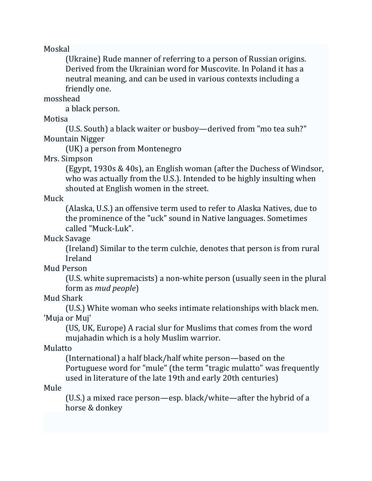Moskal 

(Ukraine) Rude manner of referring to a person of Russian origins. Derived from the Ukrainian word for Muscovite. In Poland it has a neutral meaning, and can be used in various contexts including a friendly one.

mosshead 

a black person.

Motisa 

(U.S. South) a black waiter or busboy—derived from "mo tea suh?" Mountain Nigger 

(UK) a person from Montenegro

Mrs. Simpson

(Egypt,  $1930s \& 40s$ ), an English woman (after the Duchess of Windsor, who was actually from the U.S.). Intended to be highly insulting when shouted at English women in the street.

Muck 

(Alaska, U.S.) an offensive term used to refer to Alaska Natives, due to the prominence of the "uck" sound in Native languages. Sometimes called "Muck-Luk".

Muck Savage

(Ireland) Similar to the term culchie, denotes that person is from rural Ireland 

Mud Person

(U.S. white supremacists) a non-white person (usually seen in the plural form as *mud people*) 

Mud Shark 

(U.S.) White woman who seeks intimate relationships with black men. 'Muja or Muj'

(US, UK, Europe) A racial slur for Muslims that comes from the word mujahadin which is a holy Muslim warrior.

Mulatto 

(International) a half black/half white person—based on the Portuguese word for "mule" (the term "tragic mulatto" was frequently used in literature of the late 19th and early 20th centuries)

Mule 

 $(U.S.)$  a mixed race person—esp. black/white—after the hybrid of a horse & donkey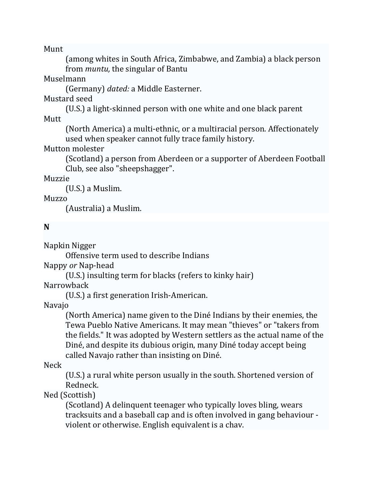Munt 

(among whites in South Africa, Zimbabwe, and Zambia) a black person from *muntu*, the singular of Bantu

### Muselmann

(Germany) *dated:* a Middle Easterner.

## Mustard seed

(U.S.) a light-skinned person with one white and one black parent **Mutt** 

(North America) a multi-ethnic, or a multiracial person. Affectionately used when speaker cannot fully trace family history.

### Mutton molester

(Scotland) a person from Aberdeen or a supporter of Aberdeen Football Club, see also "sheepshagger".

### Muzzie

 $(U.S.)$  a Muslim.

### Muzzo

(Australia) a Muslim.

## **N**

Napkin Nigger 

Offensive term used to describe Indians

Nappy *or* Nap‐head 

(U.S.) insulting term for blacks (refers to kinky hair)

**Narrowback** 

(U.S.) a first generation Irish-American.

## Navajo

(North America) name given to the Diné Indians by their enemies, the Tewa Pueblo Native Americans. It may mean "thieves" or "takers from the fields." It was adopted by Western settlers as the actual name of the Diné, and despite its dubious origin, many Diné today accept being called Navajo rather than insisting on Diné.

## Neck

(U.S.) a rural white person usually in the south. Shortened version of Redneck. 

## Ned (Scottish)

(Scotland) A delinquent teenager who typically loves bling, wears tracksuits and a baseball cap and is often involved in gang behaviour violent or otherwise. English equivalent is a chav.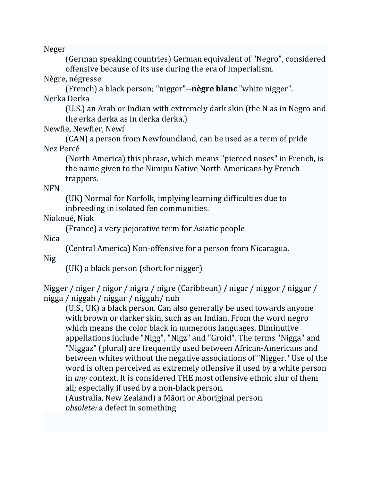Neger 

(German speaking countries) German equivalent of "Negro", considered offensive because of its use during the era of Imperialism.

Nègre, négresse

(French) a black person; "nigger"‐‐**nègre blanc** "white nigger". Nerka Derka 

(U.S.) an Arab or Indian with extremely dark skin (the N as in Negro and the erka derka as in derka derka.)

Newfie, Newfier, Newf

(CAN) a person from Newfoundland, can be used as a term of pride Nez Percé 

(North America) this phrase, which means "pierced noses" in French, is the name given to the Nimipu Native North Americans by French trappers. 

NFN 

(UK) Normal for Norfolk, implying learning difficulties due to inbreeding in isolated fen communities.

Niakoué, Niak

(France) a very pejorative term for Asiatic people 

Nica 

(Central America) Non-offensive for a person from Nicaragua.

Nig 

(UK) a black person (short for nigger)

Nigger / niger / nigor / nigra / nigre (Caribbean) / nigar / niggor / niggur / nigga / niggah / niggar / nigguh/ nuh 

(U.S., UK) a black person. Can also generally be used towards anyone with brown or darker skin, such as an Indian. From the word negro which means the color black in numerous languages. Diminutive appellations include "Nigg", "Nigz" and "Groid". The terms "Nigga" and "Niggaz" (plural) are frequently used between African-Americans and between whites without the negative associations of "Nigger." Use of the word is often perceived as extremely offensive if used by a white person in *any* context. It is considered THE most offensive ethnic slur of them all; especially if used by a non-black person.

(Australia, New Zealand) a Māori or Aboriginal person.

*obsolete:* a defect in something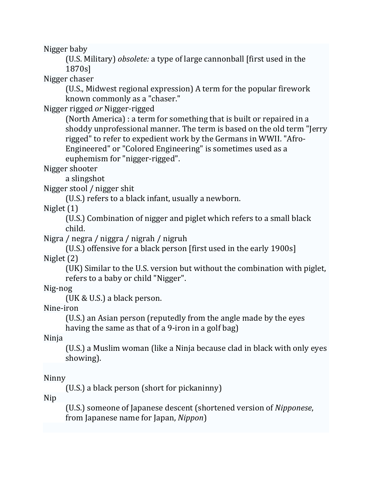Nigger baby

(U.S. Military) *obsolete:* a type of large cannonball [first used in the 1870s] 

Nigger chaser

(U.S., Midwest regional expression) A term for the popular firework known commonly as a "chaser."

Nigger rigged *or* Nigger-rigged

(North America) : a term for something that is built or repaired in a shoddy unprofessional manner. The term is based on the old term "Jerry rigged" to refer to expedient work by the Germans in WWII. "Afro-Engineered" or "Colored Engineering" is sometimes used as a euphemism for "nigger-rigged".

Nigger shooter

a slingshot

Nigger stool / nigger shit

(U.S.) refers to a black infant, usually a newborn.

Niglet  $(1)$ 

(U.S.) Combination of nigger and piglet which refers to a small black child. 

Nigra / negra / niggra / nigrah / nigruh

(U.S.) offensive for a black person [first used in the early 1900s] Niglet $(2)$ 

(UK) Similar to the U.S. version but without the combination with piglet, refers to a baby or child "Nigger".

Nig‐nog 

(UK & U.S.) a black person.

Nine‐iron 

(U.S.) an Asian person (reputedly from the angle made by the eyes having the same as that of a 9-iron in a golf bag)

Ninja 

(U.S.) a Muslim woman (like a Ninja because clad in black with only eyes showing). 

## Ninny

(U.S.) a black person (short for pickaninny)

Nip 

(U.S.) someone of Japanese descent (shortened version of *Nipponese*, from Japanese name for Japan, *Nippon*)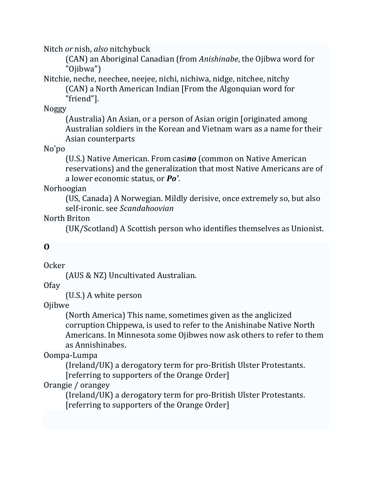Nitch *or* nish, *also* nitchybuck

(CAN) an Aboriginal Canadian (from *Anishinabe*, the Ojibwa word for "Ojibwa") 

Nitchie, neche, neechee, neejee, nichi, nichiwa, nidge, nitchee, nitchy (CAN) a North American Indian [From the Algonquian word for "friend"]. 

Noggy 

(Australia) An Asian, or a person of Asian origin [originated among Australian soldiers in the Korean and Vietnam wars as a name for their Asian counterparts 

No'po 

(U.S.) Native American. From casino (common on Native American reservations) and the generalization that most Native Americans are of a lower economic status, or **Po'.** 

Norhoogian 

(US, Canada) A Norwegian. Mildly derisive, once extremely so, but also self‐ironic. see *Scandahoovian* 

North Briton

(UK/Scotland) A Scottish person who identifies themselves as Unionist. 

## **O**

Ocker 

(AUS & NZ) Uncultivated Australian.

Ofay 

(U.S.) A white person

Ojibwe 

(North America) This name, sometimes given as the anglicized corruption Chippewa, is used to refer to the Anishinabe Native North Americans. In Minnesota some Ojibwes now ask others to refer to them as Annishinabes. 

Oompa‐Lumpa 

(Ireland/UK) a derogatory term for pro-British Ulster Protestants. [referring to supporters of the Orange Order]

Orangie / orangey

(Ireland/UK) a derogatory term for pro-British Ulster Protestants. [referring to supporters of the Orange Order]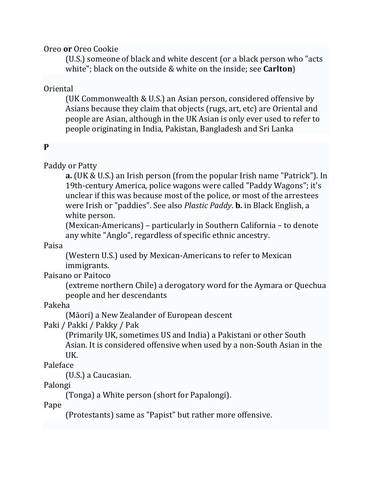Oreo or Oreo Cookie

(U.S.) someone of black and white descent (or a black person who "acts white"; black on the outside & white on the inside; see **Carlton**)

Oriental 

(UK Commonwealth & U.S.) an Asian person, considered offensive by Asians because they claim that objects (rugs, art, etc) are Oriental and people are Asian, although in the UK Asian is only ever used to refer to people originating in India, Pakistan, Bangladesh and Sri Lanka

## **P**

Paddy or Patty

**a.** (UK & U.S.) an Irish person (from the popular Irish name "Patrick"). In 19th-century America, police wagons were called "Paddy Wagons"; it's unclear if this was because most of the police, or most of the arrestees were Irish or "paddies". See also *Plastic Paddy*. **b.** in Black English, a white person.

(Mexican-Americans) – particularly in Southern California – to denote any white "Anglo", regardless of specific ethnic ancestry.

Paisa 

(Western U.S.) used by Mexican-Americans to refer to Mexican immigrants. 

Paisano or Paitoco

(extreme northern Chile) a derogatory word for the Aymara or Ouechua people and her descendants

Pakeha 

(Māori) a New Zealander of European descent

Paki / Pakki / Pakky / Pak

(Primarily UK, sometimes US and India) a Pakistani or other South Asian. It is considered offensive when used by a non-South Asian in the UK. 

Paleface 

(U.S.) a Caucasian.

Palongi 

(Tonga) a White person (short for Papalongi).

Pape 

(Protestants) same as "Papist" but rather more offensive.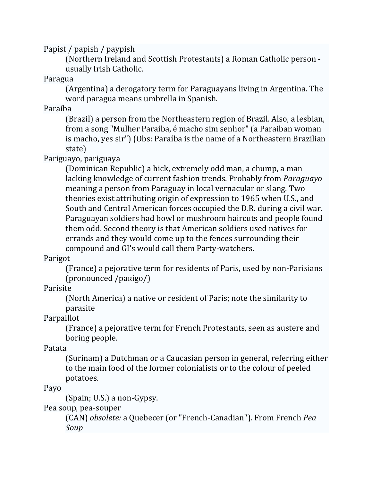Papist / papish / paypish

(Northern Ireland and Scottish Protestants) a Roman Catholic person usually Irish Catholic. 

Paragua 

(Argentina) a derogatory term for Paraguayans living in Argentina. The word paragua means umbrella in Spanish.

Paraíba 

(Brazil) a person from the Northeastern region of Brazil. Also, a lesbian, from a song "Mulher Paraíba, é macho sim senhor" (a Paraiban woman is macho, yes sir") (Obs: Paraíba is the name of a Northeastern Brazilian state) 

Pariguayo, pariguaya

(Dominican Republic) a hick, extremely odd man, a chump, a man lacking knowledge of current fashion trends. Probably from *Paraguayo* meaning a person from Paraguay in local vernacular or slang. Two theories exist attributing origin of expression to 1965 when U.S., and South and Central American forces occupied the D.R. during a civil war. Paraguayan soldiers had bowl or mushroom haircuts and people found them odd. Second theory is that American soldiers used natives for errands and they would come up to the fences surrounding their compound and GI's would call them Party-watchers.

Parigot 

(France) a pejorative term for residents of Paris, used by non-Parisians (pronounced /paʀigo/) 

Parisite 

(North America) a native or resident of Paris; note the similarity to parasite 

Parpaillot 

(France) a pejorative term for French Protestants, seen as austere and boring people.

Patata 

(Surinam) a Dutchman or a Caucasian person in general, referring either to the main food of the former colonialists or to the colour of peeled potatoes. 

Payo 

 $(Spain; U.S.)$  a non-Gypsy.

Pea soup, pea-souper

(CAN) *obsolete:* a Quebecer (or "French‐Canadian"). From French *Pea Soup*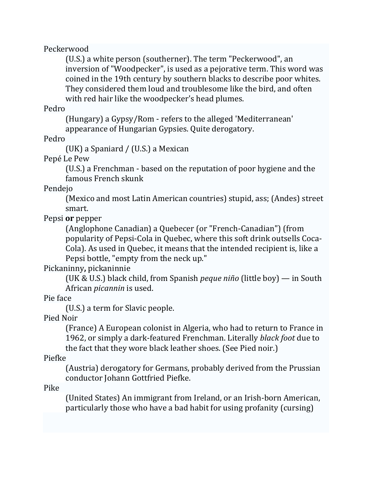### Peckerwood

(U.S.) a white person (southerner). The term "Peckerwood", an inversion of "Woodpecker", is used as a pejorative term. This word was coined in the 19th century by southern blacks to describe poor whites. They considered them loud and troublesome like the bird, and often with red hair like the woodpecker's head plumes.

### Pedro

(Hungary) a Gypsy/Rom - refers to the alleged 'Mediterranean' appearance of Hungarian Gypsies. Quite derogatory.

Pedro 

(UK) a Spaniard  $/$  (U.S.) a Mexican

Pepé Le Pew

(U.S.) a Frenchman - based on the reputation of poor hygiene and the famous French skunk 

### Pendejo

(Mexico and most Latin American countries) stupid, ass; (Andes) street smart. 

### Pepsi or pepper

(Anglophone Canadian) a Quebecer (or "French-Canadian") (from popularity of Pepsi-Cola in Ouebec, where this soft drink outsells Coca-Cola). As used in Quebec, it means that the intended recipient is, like a Pepsi bottle, "empty from the neck up."

## Pickaninny**,** pickaninnie

(UK & U.S.) black child, from Spanish *peque niño* (little boy) — in South African *picannin* is used.

## Pie face

(U.S.) a term for Slavic people.

Pied Noir 

(France) A European colonist in Algeria, who had to return to France in 1962, or simply a dark-featured Frenchman. Literally *black foot* due to the fact that they wore black leather shoes. (See Pied noir.)

Piefke 

(Austria) derogatory for Germans, probably derived from the Prussian conductor Johann Gottfried Piefke.

Pike 

(United States) An immigrant from Ireland, or an Irish-born American, particularly those who have a bad habit for using profanity (cursing)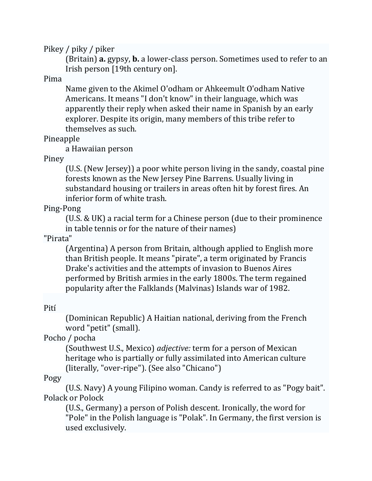Pikey / piky / piker

(Britain) **a.** gypsy, **b.** a lower-class person. Sometimes used to refer to an Irish person [19th century on].

Pima 

Name given to the Akimel O'odham or Ahkeemult O'odham Native Americans. It means "I don't know" in their language, which was apparently their reply when asked their name in Spanish by an early explorer. Despite its origin, many members of this tribe refer to themselves as such.

Pineapple 

a Hawaiian person 

Piney 

(U.S. (New Jersey)) a poor white person living in the sandy, coastal pine forests known as the New Jersey Pine Barrens. Usually living in substandard housing or trailers in areas often hit by forest fires. An inferior form of white trash.

## Ping‐Pong

(U.S. & UK) a racial term for a Chinese person (due to their prominence in table tennis or for the nature of their names)

"Pirata" 

(Argentina) A person from Britain, although applied to English more than British people. It means "pirate", a term originated by Francis Drake's activities and the attempts of invasion to Buenos Aires performed by British armies in the early 1800s. The term regained popularity after the Falklands (Malvinas) Islands war of 1982.

## Pití

(Dominican Republic) A Haitian national, deriving from the French word "petit" (small).

Pocho / pocha

(Southwest U.S., Mexico) *adjective:* term for a person of Mexican heritage who is partially or fully assimilated into American culture (literally, "over-ripe"). (See also "Chicano")

## Pogy

(U.S. Navy) A young Filipino woman. Candy is referred to as "Pogy bait". Polack or Polock

(U.S., Germany) a person of Polish descent. Ironically, the word for "Pole" in the Polish language is "Polak". In Germany, the first version is used exclusively.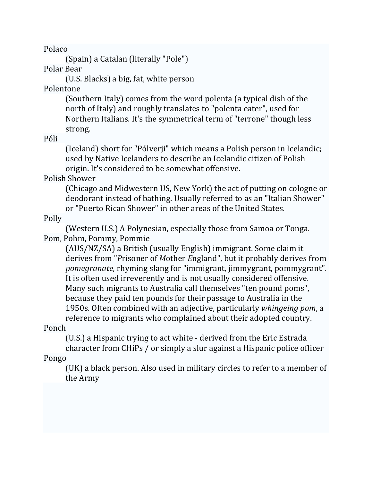Polaco 

(Spain) a Catalan (literally "Pole")

Polar Bear

(U.S. Blacks) a big, fat, white person

Polentone 

(Southern Italy) comes from the word polenta (a typical dish of the north of Italy) and roughly translates to "polenta eater", used for Northern Italians. It's the symmetrical term of "terrone" though less strong. 

Póli 

(Iceland) short for "Pólverji" which means a Polish person in Icelandic; used by Native Icelanders to describe an Icelandic citizen of Polish origin. It's considered to be somewhat offensive.

Polish Shower 

(Chicago and Midwestern US, New York) the act of putting on cologne or deodorant instead of bathing. Usually referred to as an "Italian Shower" or "Puerto Rican Shower" in other areas of the United States.

Polly 

(Western U.S.) A Polynesian, especially those from Samoa or Tonga. Pom, Pohm, Pommy, Pommie

(AUS/NZ/SA) a British (usually English) immigrant. Some claim it derives from "*P*risoner of *M*other *England"*, but it probably derives from *pomegranate,* rhyming slang for "immigrant, jimmygrant, pommygrant". It is often used irreverently and is not usually considered offensive. Many such migrants to Australia call themselves "ten pound poms", because they paid ten pounds for their passage to Australia in the 1950s. Often combined with an adjective, particularly *whingeing pom*, a reference to migrants who complained about their adopted country.

Ponch 

(U.S.) a Hispanic trying to act white - derived from the Eric Estrada character from CHiPs / or simply a slur against a Hispanic police officer

Pongo 

(UK) a black person. Also used in military circles to refer to a member of the Army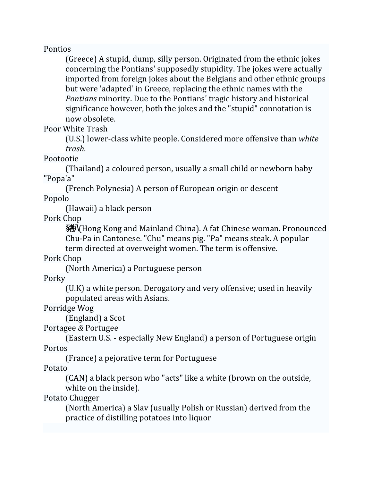### Pontios

(Greece) A stupid, dump, silly person. Originated from the ethnic jokes concerning the Pontians' supposedly stupidity. The jokes were actually imported from foreign jokes about the Belgians and other ethnic groups but were 'adapted' in Greece, replacing the ethnic names with the *Pontians* minority. Due to the Pontians' tragic history and historical significance however, both the jokes and the "stupid" connotation is now obsolete. 

### Poor White Trash

(U.S.) lower-class white people. Considered more offensive than *white trash*. 

Pootootie 

(Thailand) a coloured person, usually a small child or newborn baby "Popa'a" 

(French Polynesia) A person of European origin or descent 

Popolo 

(Hawaii) a black person

Pork Chop 

豬八 Hong Kong and Mainland China). A fat Chinese woman. Pronounced Chu-Pa in Cantonese. "Chu" means pig. "Pa" means steak. A popular term directed at overweight women. The term is offensive.

Pork Chop 

(North America) a Portuguese person 

Porky 

 $(U.K)$  a white person. Derogatory and very offensive; used in heavily populated areas with Asians.

Porridge Wog

(England) a Scot

Portagee *&* Portugee 

(Eastern U.S. - especially New England) a person of Portuguese origin Portos 

(France) a pejorative term for Portuguese

Potato 

(CAN) a black person who "acts" like a white (brown on the outside, white on the inside).

Potato Chugger

(North America) a Slav (usually Polish or Russian) derived from the practice of distilling potatoes into liquor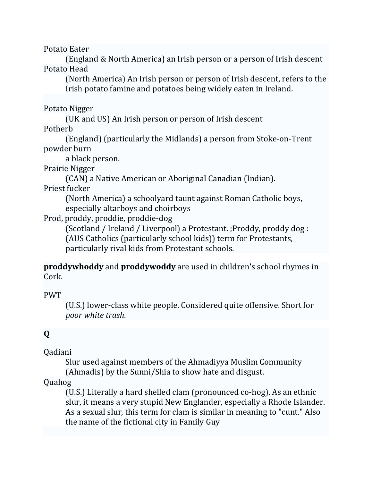Potato Eater

(England & North America) an Irish person or a person of Irish descent Potato Head

(North America) An Irish person or person of Irish descent, refers to the Irish potato famine and potatoes being widely eaten in Ireland.

Potato Nigger

(UK and US) An Irish person or person of Irish descent

Potherb 

(England) (particularly the Midlands) a person from Stoke-on-Trent powder burn

a black person.

Prairie Nigger

(CAN) a Native American or Aboriginal Canadian (Indian).

Priest fucker

(North America) a schoolyard taunt against Roman Catholic boys, especially altarboys and choirboys

Prod, proddy, proddie, proddie-dog

(Scotland / Ireland / Liverpool) a Protestant. ; Proddy, proddy dog : (AUS Catholics (particularly school kids)) term for Protestants, particularly rival kids from Protestant schools.

**proddywhoddy** and **proddywoddy** are used in children's school rhymes in Cork. 

PWT 

(U.S.) lower-class white people. Considered quite offensive. Short for *poor white trash*. 

# **Q**

Qadiani 

Slur used against members of the Ahmadiyya Muslim Community (Ahmadis) by the Sunni/Shia to show hate and disgust.

## Quahog

(U.S.) Literally a hard shelled clam (pronounced co-hog). As an ethnic slur, it means a very stupid New Englander, especially a Rhode Islander. As a sexual slur, this term for clam is similar in meaning to "cunt." Also the name of the fictional city in Family Guy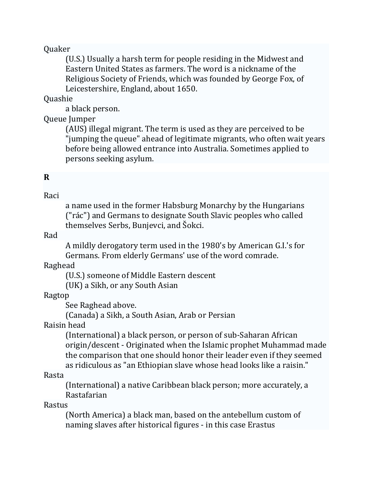### Quaker

(U.S.) Usually a harsh term for people residing in the Midwest and Eastern United States as farmers. The word is a nickname of the Religious Society of Friends, which was founded by George Fox, of Leicestershire, England, about 1650.

### Quashie

a black person.

### Queue Jumper

(AUS) illegal migrant. The term is used as they are perceived to be "jumping the queue" ahead of legitimate migrants, who often wait years before being allowed entrance into Australia. Sometimes applied to persons seeking asylum.

## **R**

## Raci

a name used in the former Habsburg Monarchy by the Hungarians ("rác") and Germans to designate South Slavic peoples who called themselves Serbs, Bunjevci, and Šokci.

### Rad

A mildly derogatory term used in the 1980's by American G.I.'s for Germans. From elderly Germans' use of the word comrade.

### Raghead

(U.S.) someone of Middle Eastern descent (UK) a Sikh, or any South Asian

### Ragtop

See Raghead above.

(Canada) a Sikh, a South Asian, Arab or Persian

### Raisin head

(International) a black person, or person of sub-Saharan African origin/descent - Originated when the Islamic prophet Muhammad made the comparison that one should honor their leader even if they seemed as ridiculous as "an Ethiopian slave whose head looks like a raisin."

### Rasta

(International) a native Caribbean black person; more accurately, a Rastafarian 

### Rastus

(North America) a black man, based on the antebellum custom of naming slaves after historical figures - in this case Erastus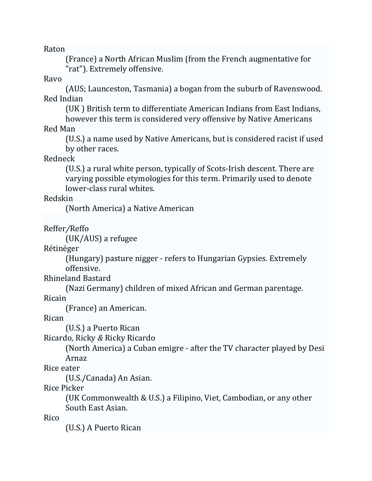Raton 

(France) a North African Muslim (from the French augmentative for "rat"). Extremely offensive.

### Ravo

(AUS; Launceston, Tasmania) a bogan from the suburb of Ravenswood. Red Indian

(UK) British term to differentiate American Indians from East Indians,

however this term is considered very offensive by Native Americans Red Man 

(U.S.) a name used by Native Americans, but is considered racist if used by other races.

Redneck 

(U.S.) a rural white person, typically of Scots-Irish descent. There are varying possible etymologies for this term. Primarily used to denote lower-class rural whites.

### Redskin

(North America) a Native American

Reffer*/*Reffo 

(UK/AUS) a refugee

Rétinéger 

(Hungary) pasture nigger - refers to Hungarian Gypsies. Extremely offensive. 

Rhineland Bastard

(Nazi Germany) children of mixed African and German parentage.

Ricain 

(France) an American. 

Rican 

(U.S.) a Puerto Rican

Ricardo*,* Ricky *&* Ricky Ricardo 

(North America) a Cuban emigre - after the TV character played by Desi Arnaz 

Rice eater

(U.S./Canada) An Asian.

Rice Picker 

(UK Commonwealth & U.S.) a Filipino, Viet, Cambodian, or any other South East Asian.

Rico 

(U.S.) A Puerto Rican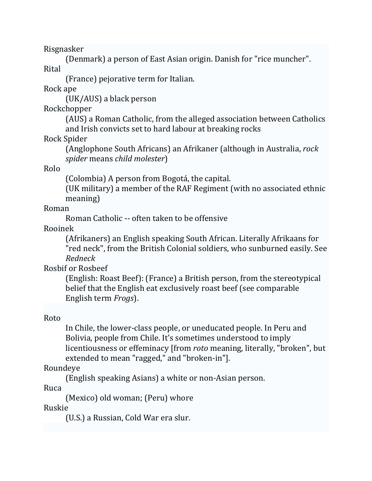Risgnasker 

(Denmark) a person of East Asian origin. Danish for "rice muncher". Rital 

(France) pejorative term for Italian.

Rock ape 

 $(UK/AUS)$  a black person

Rockchopper 

(AUS) a Roman Catholic, from the alleged association between Catholics and Irish convicts set to hard labour at breaking rocks

Rock Spider 

(Anglophone South Africans) an Afrikaner (although in Australia, *rock spider* means *child molester*) 

Rolo 

(Colombia) A person from Bogotá, the capital. 

(UK military) a member of the RAF Regiment (with no associated ethnic meaning) 

Roman 

Roman Catholic -- often taken to be offensive

Rooinek 

(Afrikaners) an English speaking South African. Literally Afrikaans for "red neck", from the British Colonial soldiers, who sunburned easily. See *Redneck* 

Rosbif or Rosbeef

(English: Roast Beef): (France) a British person, from the stereotypical belief that the English eat exclusively roast beef (see comparable English term *Frogs*). 

Roto 

In Chile, the lower-class people, or uneducated people. In Peru and Bolivia, people from Chile. It's sometimes understood to imply licentiousness or effeminacy [from *roto* meaning, literally, "broken", but extended to mean "ragged," and "broken-in"].

Roundeye 

(English speaking Asians) a white or non-Asian person.

Ruca 

(Mexico) old woman; (Peru) whore

Ruskie 

(U.S.) a Russian, Cold War era slur.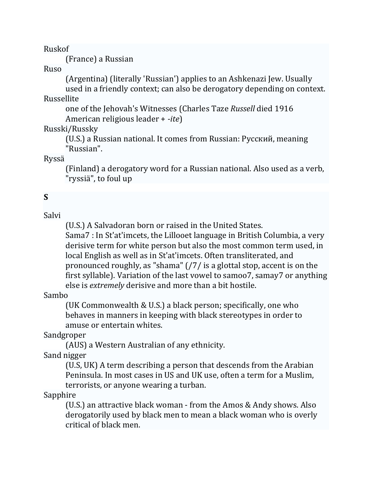Ruskof 

(France) a Russian

Ruso 

(Argentina) (literally 'Russian') applies to an Ashkenazi Jew. Usually

used in a friendly context; can also be derogatory depending on context. Russellite 

one of the Jehovah's Witnesses (Charles Taze Russell died 1916) American religious leader + *‐ite*) 

Russki/Russky 

(U.S.) a Russian national. It comes from Russian: Русский, meaning "Russian". 

Ryssä 

(Finland) a derogatory word for a Russian national. Also used as a verb, "ryssiä", to foul up

# **S**

Salvi 

(U.S.) A Salvadoran born or raised in the United States.

Sama7 : In St'at'imcets, the Lillooet language in British Columbia, a very derisive term for white person but also the most common term used, in local English as well as in St'at'imcets. Often transliterated, and pronounced roughly, as "shama"  $\frac{7}{7}$  is a glottal stop, accent is on the first syllable). Variation of the last vowel to samoo7, samay7 or anything else is *extremely* derisive and more than a bit hostile.

## Sambo

(UK Commonwealth & U.S.) a black person; specifically, one who behaves in manners in keeping with black stereotypes in order to amuse or entertain whites.

Sandgroper 

(AUS) a Western Australian of any ethnicity.

Sand nigger

(U.S, UK) A term describing a person that descends from the Arabian Peninsula. In most cases in US and UK use, often a term for a Muslim, terrorists, or anyone wearing a turban.

Sapphire 

(U.S.) an attractive black woman - from the Amos  $&$  Andy shows. Also derogatorily used by black men to mean a black woman who is overly critical of black men.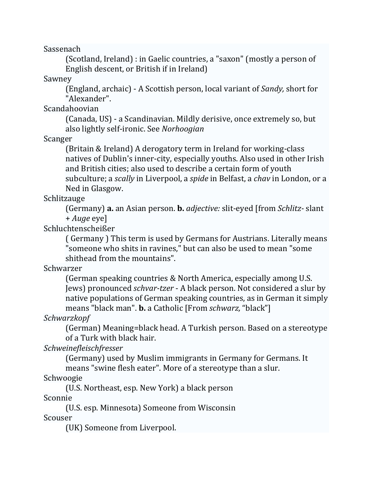Sassenach 

(Scotland, Ireland) : in Gaelic countries, a "saxon" (mostly a person of English descent, or British if in Ireland)

Sawney 

(England, archaic) - A Scottish person, local variant of *Sandy*, short for "Alexander". 

Scandahoovian 

(Canada, US) - a Scandinavian. Mildly derisive, once extremely so, but also lightly self‐ironic. See *Norhoogian* 

Scanger 

(Britain & Ireland) A derogatory term in Ireland for working-class natives of Dublin's inner-city, especially youths. Also used in other Irish and British cities; also used to describe a certain form of youth subculture; a *scally* in Liverpool, a *spide* in Belfast, a *chav* in London, or a Ned in Glasgow.

Schlitzauge 

(Germany) **a.** an Asian person. **b.** *adjective:* slit‐eyed [from *Schlitz‐* slant + *Auge* eye] 

Schluchtenscheißer 

(Germany) This term is used by Germans for Austrians. Literally means "someone who shits in ravines," but can also be used to mean "some" shithead from the mountains".

Schwarzer 

(German speaking countries & North America, especially among U.S. Jews) pronounced *schvar-tzer* - A black person. Not considered a slur by native populations of German speaking countries, as in German it simply means "black man". **b.** a Catholic [From *schwarz*, "black"]

*Schwarzkopf* 

(German) Meaning=black head. A Turkish person. Based on a stereotype of a Turk with black hair.

*Schweinefleischfresser* 

(Germany) used by Muslim immigrants in Germany for Germans. It means "swine flesh eater". More of a stereotype than a slur.

Schwoogie 

(U.S. Northeast, esp. New York) a black person Sconnie 

(U.S. esp. Minnesota) Someone from Wisconsin Scouser 

(UK) Someone from Liverpool.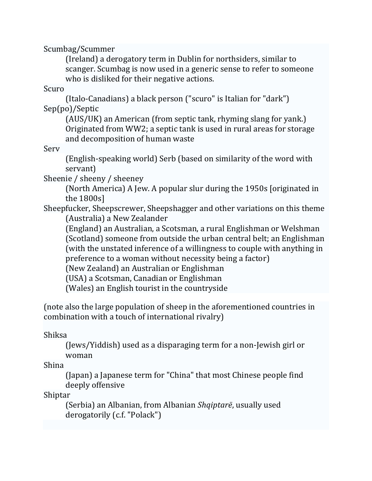Scumbag/Scummer 

(Ireland) a derogatory term in Dublin for northsiders, similar to scanger. Scumbag is now used in a generic sense to refer to someone who is disliked for their negative actions.

Scuro 

(Italo-Canadians) a black person ("scuro" is Italian for "dark") Sep(po)/Septic 

(AUS/UK) an American (from septic tank, rhyming slang for yank.) Originated from WW2; a septic tank is used in rural areas for storage and decomposition of human waste

Serv 

(English-speaking world) Serb (based on similarity of the word with servant) 

Sheenie / sheeny / sheeney

(North America) A Jew. A popular slur during the 1950s [originated in the  $1800s$ ]

Sheepfucker, Sheepscrewer, Sheepshagger and other variations on this theme (Australia) a New Zealander

(England) an Australian, a Scotsman, a rural Englishman or Welshman (Scotland) someone from outside the urban central belt; an Englishman (with the unstated inference of a willingness to couple with anything in preference to a woman without necessity being a factor)

(New Zealand) an Australian or Englishman

(USA) a Scotsman, Canadian or Englishman

(Wales) an English tourist in the countryside

(note also the large population of sheep in the aforementioned countries in combination with a touch of international rivalry)

Shiksa 

(Jews/Yiddish) used as a disparaging term for a non-Jewish girl or woman 

Shina 

(Japan) a Japanese term for "China" that most Chinese people find deeply offensive

Shiptar 

(Serbia) an Albanian, from Albanian *Shqiptarë*, usually used derogatorily (c.f. "Polack")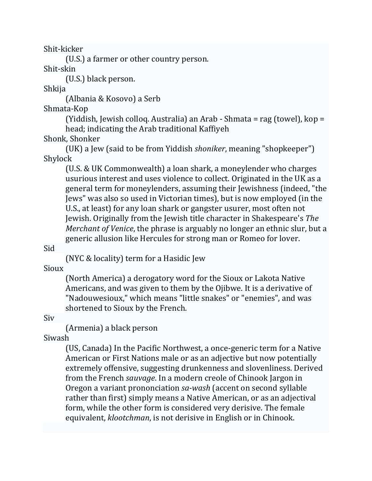Shit‐kicker 

(U.S.) a farmer or other country person.

Shit‐skin 

(U.S.) black person. 

Shkija 

(Albania & Kosovo) a Serb

Shmata‐Kop 

(Yiddish, Jewish colloq. Australia) an Arab - Shmata = rag (towel),  $kop =$ head; indicating the Arab traditional Kaffiyeh

Shonk, Shonker

(UK) a Jew (said to be from Yiddish *shoniker*, meaning "shopkeeper") Shylock 

(U.S. & UK Commonwealth) a loan shark, a moneylender who charges usurious interest and uses violence to collect. Originated in the UK as a general term for moneylenders, assuming their Jewishness (indeed, "the Jews" was also so used in Victorian times), but is now employed (in the U.S., at least) for any loan shark or gangster usurer, most often not Jewish. Originally from the Jewish title character in Shakespeare's *The Merchant of Venice*, the phrase is arguably no longer an ethnic slur, but a generic allusion like Hercules for strong man or Romeo for lover.

Sid 

(NYC & locality) term for a Hasidic Jew

Sioux 

(North America) a derogatory word for the Sioux or Lakota Native Americans, and was given to them by the Ojibwe. It is a derivative of "Nadouwesioux," which means "little snakes" or "enemies", and was shortened to Sioux by the French.

Siv 

(Armenia) a black person

Siwash 

(US, Canada) In the Pacific Northwest, a once-generic term for a Native American or First Nations male or as an adjective but now potentially extremely offensive, suggesting drunkenness and slovenliness. Derived from the French *sauvage*. In a modern creole of Chinook Jargon in Oregon a variant prononciation *sa*-wash (accent on second syllable rather than first) simply means a Native American, or as an adjectival form, while the other form is considered very derisive. The female equivalent, *klootchman*, is not derisive in English or in Chinook.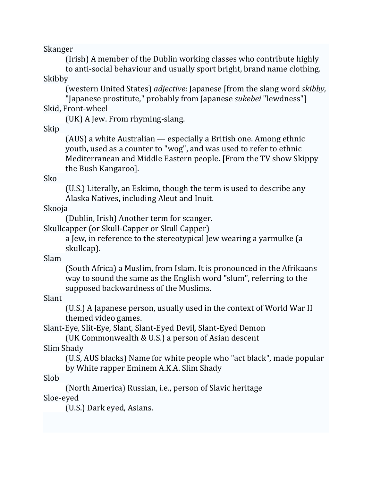Skanger 

(Irish) A member of the Dublin working classes who contribute highly to anti-social behaviour and usually sport bright, brand name clothing.

Skibby 

(western United States) *adjective:* Japanese [from the slang word *skibby*,

"Japanese prostitute," probably from Japanese *sukebei* "lewdness"] Skid, Front-wheel

(UK) A Jew. From rhyming-slang.

Skip 

(AUS) a white Australian  $-$  especially a British one. Among ethnic youth, used as a counter to "wog", and was used to refer to ethnic Mediterranean and Middle Eastern people. [From the TV show Skippy the Bush Kangaroo].

Sko 

(U.S.) Literally, an Eskimo, though the term is used to describe any Alaska Natives, including Aleut and Inuit.

Skooja 

(Dublin, Irish) Another term for scanger.

Skullcapper (or Skull-Capper or Skull Capper)

a Jew, in reference to the stereotypical Jew wearing a varmulke (a skullcap). 

Slam 

(South Africa) a Muslim, from Islam. It is pronounced in the Afrikaans way to sound the same as the English word "slum", referring to the supposed backwardness of the Muslims.

Slant 

(U.S.) A Japanese person, usually used in the context of World War II themed video games.

Slant‐Eye*,* Slit‐Eye*,* Slant*,* Slant‐Eyed Devil*,* Slant‐Eyed Demon 

(UK Commonwealth & U.S.) a person of Asian descent Slim Shady 

(U.S, AUS blacks) Name for white people who "act black", made popular by White rapper Eminem A.K.A. Slim Shady

Slob 

(North America) Russian, i.e., person of Slavic heritage Sloe‐eyed 

(U.S.) Dark eyed, Asians.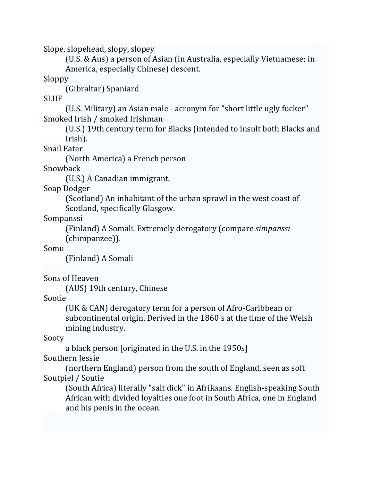Slope, slopehead, slopy, slopey

(U.S. & Aus) a person of Asian (in Australia, especially Vietnamese; in America, especially Chinese) descent.

Sloppy 

(Gibraltar) Spaniard 

SLUF 

(U.S. Military) an Asian male - acronym for "short little ugly fucker" Smoked Irish / smoked Irishman

(U.S.) 19th century term for Blacks (intended to insult both Blacks and Irish). 

Snail Eater

(North America) a French person 

Snowback 

(U.S.) A Canadian immigrant.

Soap Dodger 

(Scotland) An inhabitant of the urban sprawl in the west coast of Scotland, specifically Glasgow.

Sompanssi 

(Finland) A Somali. Extremely derogatory (compare *simpanssi* (chimpanzee)). 

Somu 

(Finland) A Somali 

Sons of Heaven

(AUS) 19th century, Chinese

Sootie 

(UK & CAN) derogatory term for a person of Afro-Caribbean or subcontinental origin. Derived in the 1860's at the time of the Welsh mining industry.

Sooty 

a black person [originated in the U.S. in the 1950s] Southern Jessie

(northern England) person from the south of England, seen as soft Soutpiel / Soutie

(South Africa) literally "salt dick" in Afrikaans. English-speaking South African with divided loyalties one foot in South Africa, one in England and his penis in the ocean.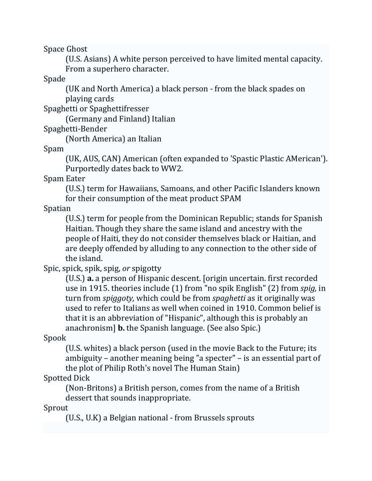Space Ghost

(U.S. Asians) A white person perceived to have limited mental capacity. From a superhero character.

Spade 

(UK and North America) a black person - from the black spades on playing cards

Spaghetti or Spaghettifresser

(Germany and Finland) Italian

Spaghetti‐Bender 

(North America) an Italian

Spam 

(UK, AUS, CAN) American (often expanded to 'Spastic Plastic AMerican'). Purportedly dates back to WW2.

Spam Eater 

(U.S.) term for Hawaiians, Samoans, and other Pacific Islanders known for their consumption of the meat product SPAM

Spatian 

(U.S.) term for people from the Dominican Republic; stands for Spanish Haitian. Though they share the same island and ancestry with the people of Haiti, they do not consider themselves black or Haitian, and are deeply offended by alluding to any connection to the other side of the island.

Spic, spick, spik, spig, *or* spigotty

(U.S.) **a.** a person of Hispanic descent. [origin uncertain. first recorded use in 1915. theories include (1) from "no spik English" (2) from *spig*, in turn from *spiggoty*, which could be from *spaghetti* as it originally was used to refer to Italians as well when coined in 1910. Common belief is that it is an abbreviation of "Hispanic", although this is probably an anachronism] **b.** the Spanish language. (See also Spic.)

Spook 

(U.S. whites) a black person (used in the movie Back to the Future; its ambiguity – another meaning being "a specter" – is an essential part of the plot of Philip Roth's novel The Human Stain)

Spotted Dick

(Non-Britons) a British person, comes from the name of a British dessert that sounds inappropriate.

Sprout 

(U.S., U.K) a Belgian national - from Brussels sprouts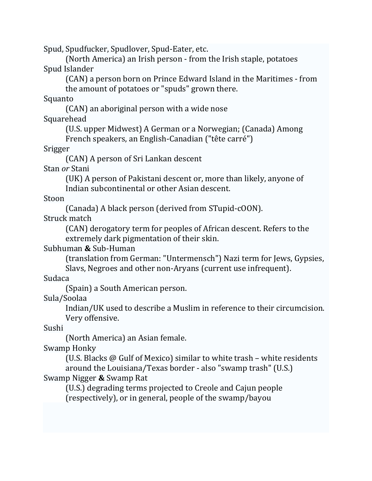Spud, Spudfucker, Spudlover, Spud-Eater, etc.

(North America) an Irish person - from the Irish staple, potatoes Spud Islander

(CAN) a person born on Prince Edward Island in the Maritimes - from the amount of potatoes or "spuds" grown there.

Squanto 

(CAN) an aboriginal person with a wide nose

Squarehead 

(U.S. upper Midwest) A German or a Norwegian; (Canada) Among French speakers, an English-Canadian ("tête carré")

Srigger 

(CAN) A person of Sri Lankan descent

Stan *or* Stani 

(UK) A person of Pakistani descent or, more than likely, anyone of Indian subcontinental or other Asian descent.

Stoon 

(Canada) A black person (derived from STupid-cOON).

Struck match

(CAN) derogatory term for peoples of African descent. Refers to the extremely dark pigmentation of their skin.

# Subhuman **&** Sub‐Human

(translation from German: "Untermensch") Nazi term for Jews, Gypsies, Slavs, Negroes and other non-Aryans (current use infrequent).

Sudaca 

(Spain) a South American person.

Sula/Soolaa 

Indian/UK used to describe a Muslim in reference to their circumcision. Very offensive.

Sushi 

(North America) an Asian female.

Swamp Honky

(U.S. Blacks  $\omega$  Gulf of Mexico) similar to white trash – white residents around the Louisiana/Texas border - also "swamp trash" (U.S.)

# Swamp Nigger **&** Swamp Rat

(U.S.) degrading terms projected to Creole and Cajun people (respectively), or in general, people of the swamp/bayou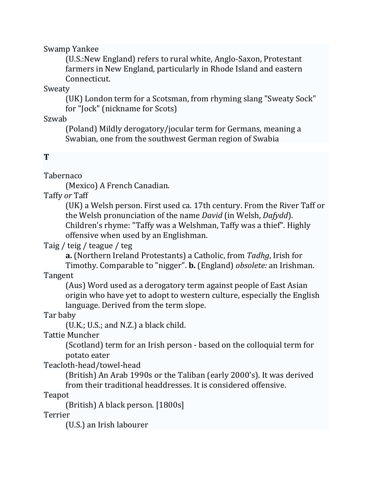Swamp Yankee 

(U.S.:New England) refers to rural white, Anglo‐Saxon, Protestant farmers in New England, particularly in Rhode Island and eastern Connecticut. 

Sweaty 

(UK) London term for a Scotsman, from rhyming slang "Sweaty Sock" for "Jock" (nickname for Scots)

Szwab 

(Poland) Mildly derogatory/jocular term for Germans, meaning a Swabian, one from the southwest German region of Swabia

# **T**

Tabernaco 

(Mexico) A French Canadian.

Taffy *or* Taff

(UK) a Welsh person. First used ca. 17th century. From the River Taff or the Welsh pronunciation of the name *David* (in Welsh, *Dafydd*). Children's rhyme: "Taffy was a Welshman, Taffy was a thief". Highly offensive when used by an Englishman.

Taig / teig / teague / teg 

**a.** (Northern Ireland Protestants) a Catholic, from Tadhg, Irish for Timothy. Comparable to "nigger". **b.** (England) *obsolete:* an Irishman.

Tangent 

(Aus) Word used as a derogatory term against people of East Asian origin who have yet to adopt to western culture, especially the English language. Derived from the term slope.

Tar baby

 $(U.K.; U.S.; and N.Z.)$  a black child.

Tattie Muncher 

(Scotland) term for an Irish person - based on the colloquial term for potato eater 

Teacloth‐head/towel‐head 

(British) An Arab 1990s or the Taliban (early 2000's). It was derived from their traditional headdresses. It is considered offensive.

Teapot 

(British) A black person. [1800s]

Terrier 

(U.S.) an Irish labourer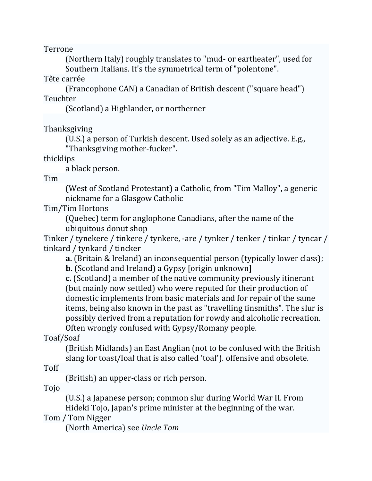Terrone 

(Northern Italy) roughly translates to "mud- or eartheater", used for Southern Italians. It's the symmetrical term of "polentone".

Tête carrée

(Francophone CAN) a Canadian of British descent ("square head") Teuchter 

(Scotland) a Highlander, or northerner

Thanksgiving 

(U.S.) a person of Turkish descent. Used solely as an adjective. E.g., "Thanksgiving mother-fucker".

thicklips 

a black person.

Tim 

(West of Scotland Protestant) a Catholic, from "Tim Malloy", a generic nickname for a Glasgow Catholic

Tim/Tim Hortons 

(Quebec) term for anglophone Canadians, after the name of the ubiquitous donut shop

Tinker / tynekere / tinkere / tynkere, -are / tynker / tenker / tinkar / tyncar / tinkard / tynkard / tincker

**a.** (Britain & Ireland) an inconsequential person (typically lower class);

**b.** (Scotland and Ireland) a Gypsy [origin unknown]

**c.** (Scotland) a member of the native community previously itinerant (but mainly now settled) who were reputed for their production of domestic implements from basic materials and for repair of the same items, being also known in the past as "travelling tinsmiths". The slur is possibly derived from a reputation for rowdy and alcoholic recreation. Often wrongly confused with Gypsy/Romany people.

Toaf/Soaf 

(British Midlands) an East Anglian (not to be confused with the British slang for toast/loaf that is also called 'toaf'). offensive and obsolete.

Toff 

(British) an upper-class or rich person.

Tojo 

(U.S.) a Japanese person; common slur during World War II. From Hideki Tojo, Japan's prime minister at the beginning of the war.

Tom / Tom Nigger

(North America) see *Uncle Tom*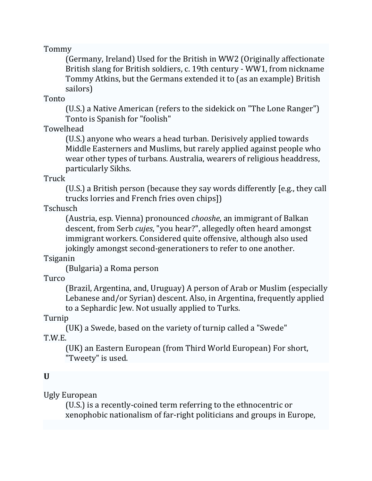Tommy 

(Germany, Ireland) Used for the British in WW2 (Originally affectionate British slang for British soldiers, c. 19th century - WW1, from nickname Tommy Atkins, but the Germans extended it to (as an example) British sailors) 

Tonto 

(U.S.) a Native American (refers to the sidekick on "The Lone Ranger") Tonto is Spanish for "foolish"

Towelhead 

(U.S.) anyone who wears a head turban. Derisively applied towards Middle Easterners and Muslims, but rarely applied against people who wear other types of turbans. Australia, wearers of religious headdress, particularly Sikhs.

Truck 

(U.S.) a British person (because they say words differently [e.g., they call trucks lorries and French fries oven chips])

Tschusch 

(Austria, esp. Vienna) pronounced *chooshe*, an immigrant of Balkan descent, from Serb *cujes*, "you hear?", allegedly often heard amongst immigrant workers. Considered quite offensive, although also used jokingly amongst second-generationers to refer to one another.

Tsiganin 

(Bulgaria) a Roma person 

Turco 

(Brazil, Argentina, and, Uruguay) A person of Arab or Muslim (especially Lebanese and/or Syrian) descent. Also, in Argentina, frequently applied to a Sephardic Jew. Not usually applied to Turks.

Turnip 

(UK) a Swede, based on the variety of turnip called a "Swede" T.W.E. 

(UK) an Eastern European (from Third World European) For short, "Tweety" is used.

# **U**

Ugly European 

(U.S.) is a recently-coined term referring to the ethnocentric or xenophobic nationalism of far-right politicians and groups in Europe,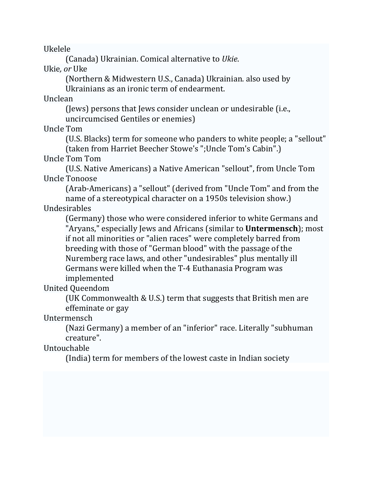Ukelele 

(Canada) Ukrainian. Comical alternative to *Ukie*. 

Ukie*, or* Uke 

(Northern & Midwestern U.S., Canada) Ukrainian. also used by Ukrainians as an ironic term of endearment.

Unclean 

(Jews) persons that Jews consider unclean or undesirable (i.e., uncircumcised Gentiles or enemies)

Uncle Tom 

(U.S. Blacks) term for someone who panders to white people; a "sellout" (taken from Harriet Beecher Stowe's ";Uncle Tom's Cabin".)

Uncle Tom Tom 

(U.S. Native Americans) a Native American "sellout", from Uncle Tom Uncle Tonoose 

(Arab-Americans) a "sellout" (derived from "Uncle Tom" and from the name of a stereotypical character on a 1950s television show.)

Undesirables 

(Germany) those who were considered inferior to white Germans and "Aryans," especially Jews and Africans (similar to **Untermensch**); most if not all minorities or "alien races" were completely barred from breeding with those of "German blood" with the passage of the Nuremberg race laws, and other "undesirables" plus mentally ill Germans were killed when the T-4 Euthanasia Program was implemented 

United Queendom 

(UK Commonwealth & U.S.) term that suggests that British men are effeminate or gay

Untermensch 

(Nazi Germany) a member of an "inferior" race. Literally "subhuman creature". 

Untouchable 

(India) term for members of the lowest caste in Indian society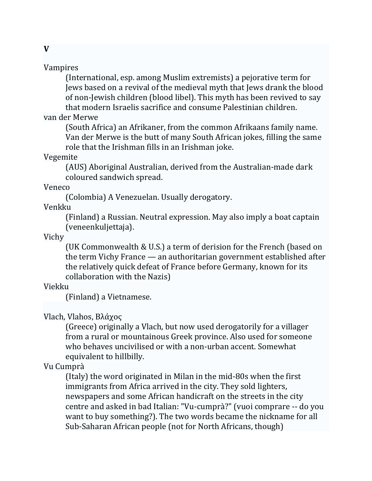#### Vampires

(International, esp. among Muslim extremists) a pejorative term for Jews based on a revival of the medieval myth that Jews drank the blood of non-Jewish children (blood libel). This myth has been revived to say that modern Israelis sacrifice and consume Palestinian children.

## van der Merwe

(South Africa) an Afrikaner, from the common Afrikaans family name. Van der Merwe is the butt of many South African jokes, filling the same role that the Irishman fills in an Irishman joke.

### Vegemite

(AUS) Aboriginal Australian, derived from the Australian-made dark coloured sandwich spread.

#### Veneco

(Colombia) A Venezuelan. Usually derogatory.

### Venkku

(Finland) a Russian. Neutral expression. May also imply a boat captain (veneenkuljettaja). 

#### Vichy

(UK Commonwealth & U.S.) a term of derision for the French (based on the term Vichy France  $\rightharpoonup$  an authoritarian government established after the relatively quick defeat of France before Germany, known for its collaboration with the Nazis)

# Viekku

(Finland) a Vietnamese.

# Vlach, Vlahos, Βλάχος

(Greece) originally a Vlach, but now used derogatorily for a villager from a rural or mountainous Greek province. Also used for someone who behaves uncivilised or with a non-urban accent. Somewhat equivalent to hillbilly.

# Vu Cumprà

(Italy) the word originated in Milan in the mid-80s when the first immigrants from Africa arrived in the city. They sold lighters, newspapers and some African handicraft on the streets in the city centre and asked in bad Italian: "Vu-cumprà?" (vuoi comprare -- do you want to buy something?). The two words became the nickname for all Sub-Saharan African people (not for North Africans, though)

**V**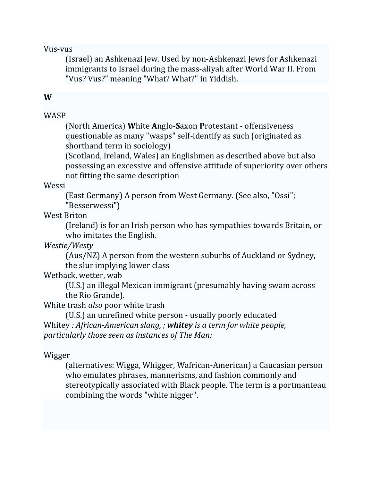#### Vus‐vus

(Israel) an Ashkenazi Jew. Used by non-Ashkenazi Jews for Ashkenazi immigrants to Israel during the mass-aliyah after World War II. From "Vus? Vus?" meaning "What? What?" in Yiddish.

## **W**

## **WASP**

(North America) **W**hite **A**nglo‐**S**axon **P**rotestant ‐ offensiveness questionable as many "wasps" self-identify as such (originated as shorthand term in sociology)

(Scotland, Ireland, Wales) an Englishmen as described above but also possessing an excessive and offensive attitude of superiority over others not fitting the same description

#### Wessi

(East Germany) A person from West Germany. (See also, "Ossi"; "Besserwessi") 

West Briton

(Ireland) is for an Irish person who has sympathies towards Britain, or who imitates the English.

*Westie/Westy* 

(Aus/NZ) A person from the western suburbs of Auckland or Sydney, the slur implying lower class

# Wetback, wetter, wab

(U.S.) an illegal Mexican immigrant (presumably having swam across the Rio Grande).

White trash *also* poor white trash

(U.S.) an unrefined white person - usually poorly educated Whitey *: African‐American slang, ; whitey is a term for white people, particularly those seen as instances of The Man;* 

Wigger 

(alternatives: Wigga, Whigger, Wafrican‐American) a Caucasian person who emulates phrases, mannerisms, and fashion commonly and stereotypically associated with Black people. The term is a portmanteau combining the words "white nigger".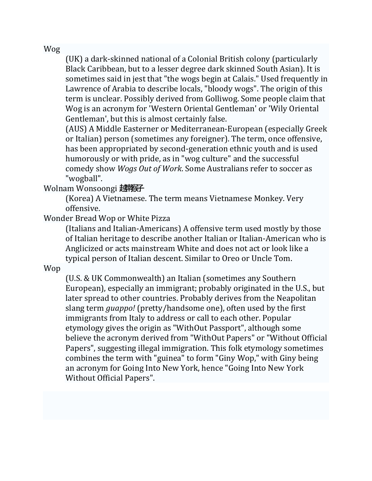Wog 

(UK) a dark-skinned national of a Colonial British colony (particularly Black Caribbean, but to a lesser degree dark skinned South Asian). It is sometimes said in jest that "the wogs begin at Calais." Used frequently in Lawrence of Arabia to describe locals, "bloody wogs". The origin of this term is unclear. Possibly derived from Golliwog. Some people claim that Wog is an acronym for 'Western Oriental Gentleman' or 'Wily Oriental Gentleman', but this is almost certainly false.

(AUS) A Middle Easterner or Mediterranean-European (especially Greek or Italian) person (sometimes any foreigner). The term, once offensive, has been appropriated by second-generation ethnic youth and is used humorously or with pride, as in "wog culture" and the successful comedy show *Wogs Out of Work*. Some Australians refer to soccer as "wogball". 

Wolnam Wonsoongi 越南

(Korea) A Vietnamese. The term means Vietnamese Monkey. Very offensive. 

Wonder Bread Wop or White Pizza

(Italians and Italian-Americans) A offensive term used mostly by those of Italian heritage to describe another Italian or Italian-American who is Anglicized or acts mainstream White and does not act or look like a typical person of Italian descent. Similar to Oreo or Uncle Tom.

Wop 

(U.S. & UK Commonwealth) an Italian (sometimes any Southern European), especially an immigrant; probably originated in the U.S., but later spread to other countries. Probably derives from the Neapolitan slang term *guappo!* (pretty/handsome one), often used by the first immigrants from Italy to address or call to each other. Popular etymology gives the origin as "WithOut Passport", although some believe the acronym derived from "WithOut Papers" or "Without Official Papers", suggesting illegal immigration. This folk etymology sometimes combines the term with "guinea" to form "Giny Wop," with Giny being an acronym for Going Into New York, hence "Going Into New York Without Official Papers".